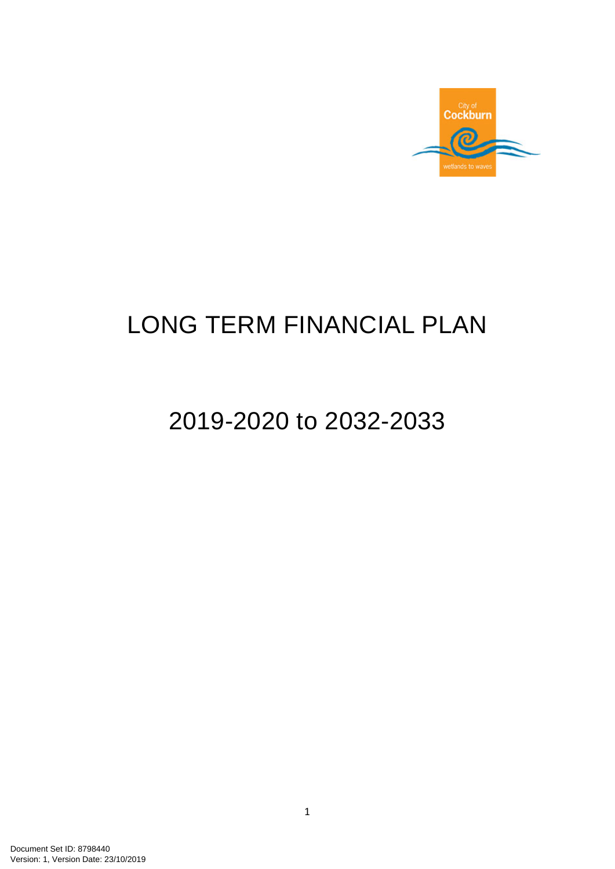

# LONG TERM FINANCIAL PLAN

# 2019-2020 to 2032-2033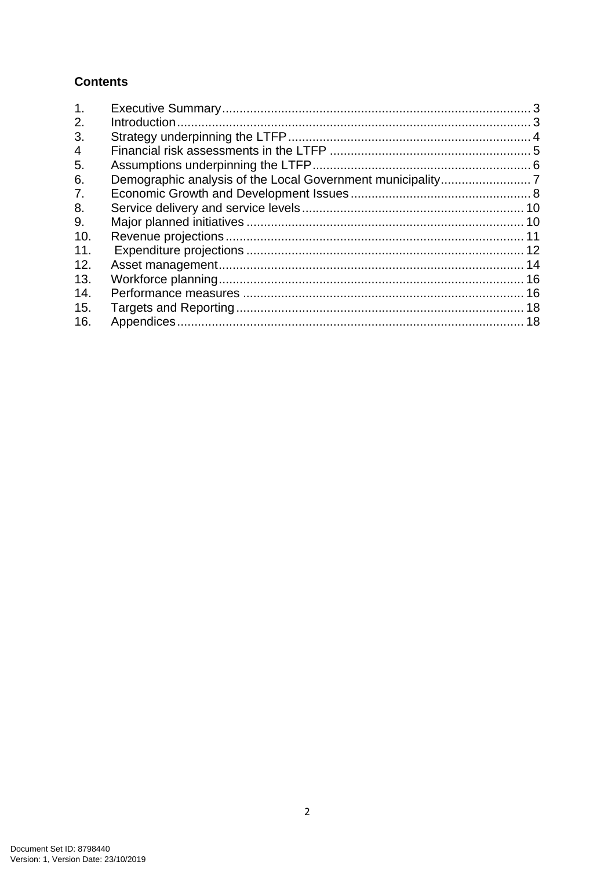# **Contents**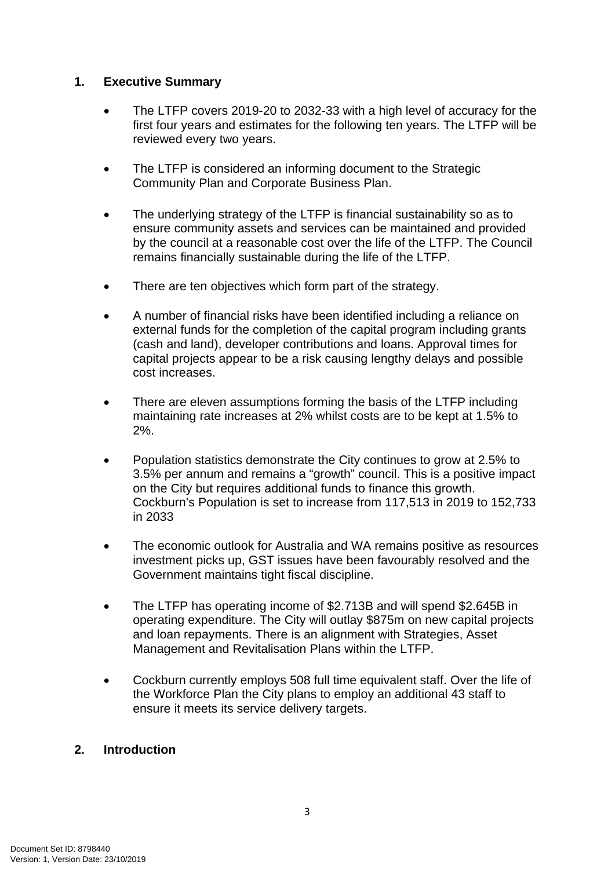# **1. Executive Summary**

- The LTFP covers 2019-20 to 2032-33 with a high level of accuracy for the first four years and estimates for the following ten years. The LTFP will be reviewed every two years.
- The LTFP is considered an informing document to the Strategic Community Plan and Corporate Business Plan.
- The underlying strategy of the LTFP is financial sustainability so as to ensure community assets and services can be maintained and provided by the council at a reasonable cost over the life of the LTFP. The Council remains financially sustainable during the life of the LTFP.
- There are ten objectives which form part of the strategy.
- A number of financial risks have been identified including a reliance on external funds for the completion of the capital program including grants (cash and land), developer contributions and loans. Approval times for capital projects appear to be a risk causing lengthy delays and possible cost increases.
- There are eleven assumptions forming the basis of the LTFP including maintaining rate increases at 2% whilst costs are to be kept at 1.5% to 2%.
- Population statistics demonstrate the City continues to grow at 2.5% to 3.5% per annum and remains a "growth" council. This is a positive impact on the City but requires additional funds to finance this growth. Cockburn's Population is set to increase from 117,513 in 2019 to 152,733 in 2033
- The economic outlook for Australia and WA remains positive as resources investment picks up, GST issues have been favourably resolved and the Government maintains tight fiscal discipline.
- The LTFP has operating income of \$2.713B and will spend \$2.645B in operating expenditure. The City will outlay \$875m on new capital projects and loan repayments. There is an alignment with Strategies, Asset Management and Revitalisation Plans within the LTFP.
- Cockburn currently employs 508 full time equivalent staff. Over the life of the Workforce Plan the City plans to employ an additional 43 staff to ensure it meets its service delivery targets.

# **2. Introduction**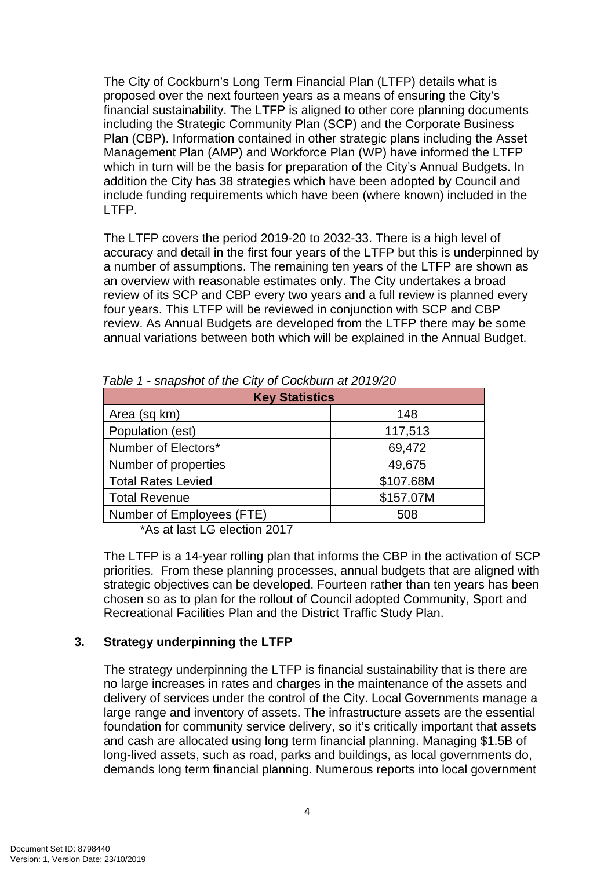The City of Cockburn's Long Term Financial Plan (LTFP) details what is proposed over the next fourteen years as a means of ensuring the City's financial sustainability. The LTFP is aligned to other core planning documents including the Strategic Community Plan (SCP) and the Corporate Business Plan (CBP). Information contained in other strategic plans including the Asset Management Plan (AMP) and Workforce Plan (WP) have informed the LTFP which in turn will be the basis for preparation of the City's Annual Budgets. In addition the City has 38 strategies which have been adopted by Council and include funding requirements which have been (where known) included in the LTFP.

The LTFP covers the period 2019-20 to 2032-33. There is a high level of accuracy and detail in the first four years of the LTFP but this is underpinned by a number of assumptions. The remaining ten years of the LTFP are shown as an overview with reasonable estimates only. The City undertakes a broad review of its SCP and CBP every two years and a full review is planned every four years. This LTFP will be reviewed in conjunction with SCP and CBP review. As Annual Budgets are developed from the LTFP there may be some annual variations between both which will be explained in the Annual Budget.

| <b>Key Statistics</b>     |           |  |  |  |  |  |  |  |
|---------------------------|-----------|--|--|--|--|--|--|--|
| Area (sq km)              | 148       |  |  |  |  |  |  |  |
| Population (est)          | 117,513   |  |  |  |  |  |  |  |
| Number of Electors*       | 69,472    |  |  |  |  |  |  |  |
| Number of properties      | 49,675    |  |  |  |  |  |  |  |
| <b>Total Rates Levied</b> | \$107.68M |  |  |  |  |  |  |  |
| <b>Total Revenue</b>      | \$157.07M |  |  |  |  |  |  |  |
| Number of Employees (FTE) | 508       |  |  |  |  |  |  |  |

 *Table 1 - snapshot of the City of Cockburn at 2019/20* 

\*As at last LG election 2017

The LTFP is a 14-year rolling plan that informs the CBP in the activation of SCP priorities. From these planning processes, annual budgets that are aligned with strategic objectives can be developed. Fourteen rather than ten years has been chosen so as to plan for the rollout of Council adopted Community, Sport and Recreational Facilities Plan and the District Traffic Study Plan.

# **3. Strategy underpinning the LTFP**

The strategy underpinning the LTFP is financial sustainability that is there are no large increases in rates and charges in the maintenance of the assets and delivery of services under the control of the City. Local Governments manage a large range and inventory of assets. The infrastructure assets are the essential foundation for community service delivery, so it's critically important that assets and cash are allocated using long term financial planning. Managing \$1.5B of long-lived assets, such as road, parks and buildings, as local governments do, demands long term financial planning. Numerous reports into local government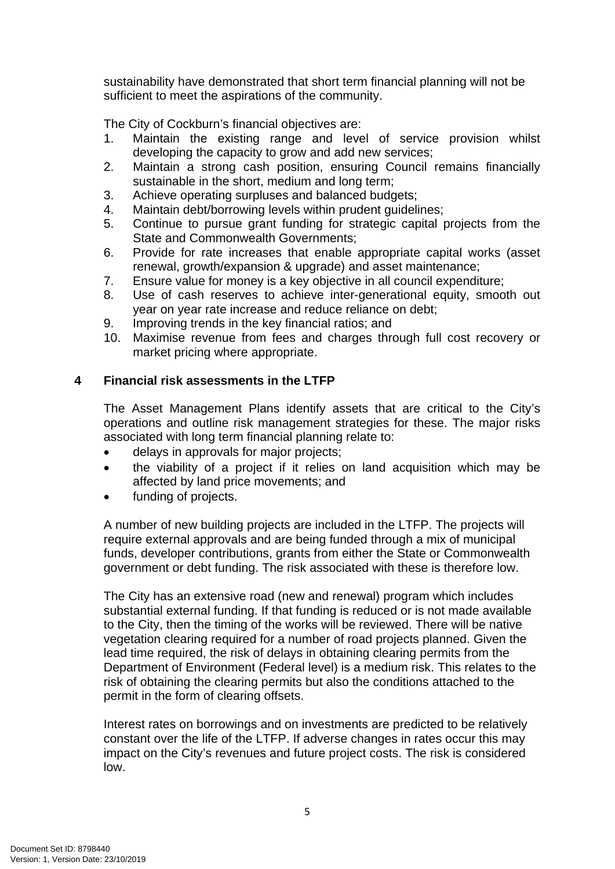sustainability have demonstrated that short term financial planning will not be sufficient to meet the aspirations of the community.

The City of Cockburn's financial objectives are:

- 1. Maintain the existing range and level of service provision whilst developing the capacity to grow and add new services;
- 2. Maintain a strong cash position, ensuring Council remains financially sustainable in the short, medium and long term;
- 3. Achieve operating surpluses and balanced budgets;
- 4. Maintain debt/borrowing levels within prudent quidelines:
- 5. Continue to pursue grant funding for strategic capital projects from the State and Commonwealth Governments;
- 6. Provide for rate increases that enable appropriate capital works (asset renewal, growth/expansion & upgrade) and asset maintenance;
- 7. Ensure value for money is a key objective in all council expenditure;
- 8. Use of cash reserves to achieve inter-generational equity, smooth out year on year rate increase and reduce reliance on debt;
- 9. Improving trends in the key financial ratios; and
- 10. Maximise revenue from fees and charges through full cost recovery or market pricing where appropriate.

# **4 Financial risk assessments in the LTFP**

The Asset Management Plans identify assets that are critical to the City's operations and outline risk management strategies for these. The major risks associated with long term financial planning relate to:

- delays in approvals for major projects;
- the viability of a project if it relies on land acquisition which may be affected by land price movements; and
- funding of projects.

A number of new building projects are included in the LTFP. The projects will require external approvals and are being funded through a mix of municipal funds, developer contributions, grants from either the State or Commonwealth government or debt funding. The risk associated with these is therefore low.

The City has an extensive road (new and renewal) program which includes substantial external funding. If that funding is reduced or is not made available to the City, then the timing of the works will be reviewed. There will be native vegetation clearing required for a number of road projects planned. Given the lead time required, the risk of delays in obtaining clearing permits from the Department of Environment (Federal level) is a medium risk. This relates to the risk of obtaining the clearing permits but also the conditions attached to the permit in the form of clearing offsets.

Interest rates on borrowings and on investments are predicted to be relatively constant over the life of the LTFP. If adverse changes in rates occur this may impact on the City's revenues and future project costs. The risk is considered low.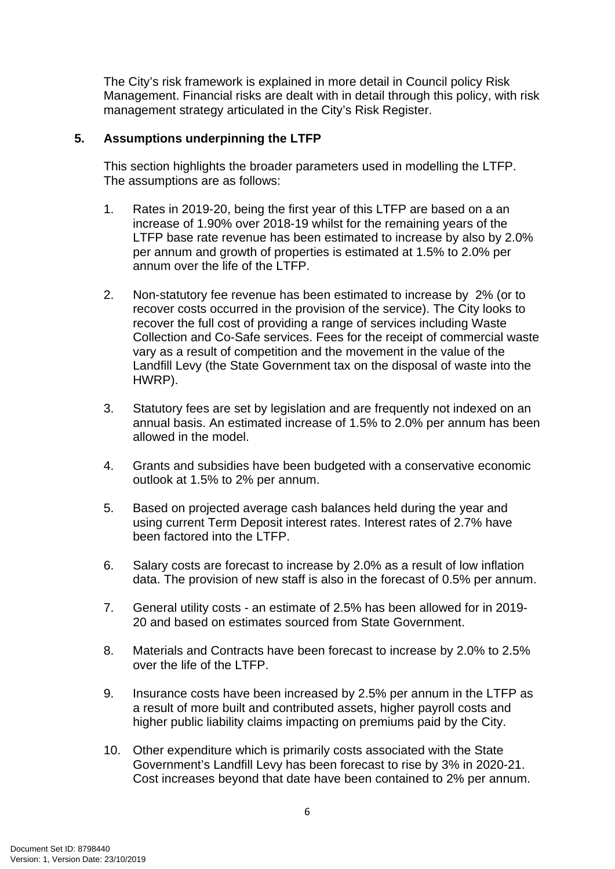The City's risk framework is explained in more detail in Council policy Risk Management. Financial risks are dealt with in detail through this policy, with risk management strategy articulated in the City's Risk Register.

# **5. Assumptions underpinning the LTFP**

This section highlights the broader parameters used in modelling the LTFP. The assumptions are as follows:

- 1. Rates in 2019-20, being the first year of this LTFP are based on a an increase of 1.90% over 2018-19 whilst for the remaining years of the LTFP base rate revenue has been estimated to increase by also by 2.0% per annum and growth of properties is estimated at 1.5% to 2.0% per annum over the life of the LTFP.
- 2. Non-statutory fee revenue has been estimated to increase by 2% (or to recover costs occurred in the provision of the service). The City looks to recover the full cost of providing a range of services including Waste Collection and Co-Safe services. Fees for the receipt of commercial waste vary as a result of competition and the movement in the value of the Landfill Levy (the State Government tax on the disposal of waste into the HWRP).
- 3. Statutory fees are set by legislation and are frequently not indexed on an annual basis. An estimated increase of 1.5% to 2.0% per annum has been allowed in the model.
- 4. Grants and subsidies have been budgeted with a conservative economic outlook at 1.5% to 2% per annum.
- 5. Based on projected average cash balances held during the year and using current Term Deposit interest rates. Interest rates of 2.7% have been factored into the LTFP.
- 6. Salary costs are forecast to increase by 2.0% as a result of low inflation data. The provision of new staff is also in the forecast of 0.5% per annum.
- 7. General utility costs an estimate of 2.5% has been allowed for in 2019- 20 and based on estimates sourced from State Government.
- 8. Materials and Contracts have been forecast to increase by 2.0% to 2.5% over the life of the LTFP.
- 9. Insurance costs have been increased by 2.5% per annum in the LTFP as a result of more built and contributed assets, higher payroll costs and higher public liability claims impacting on premiums paid by the City.
- 10. Other expenditure which is primarily costs associated with the State Government's Landfill Levy has been forecast to rise by 3% in 2020-21. Cost increases beyond that date have been contained to 2% per annum.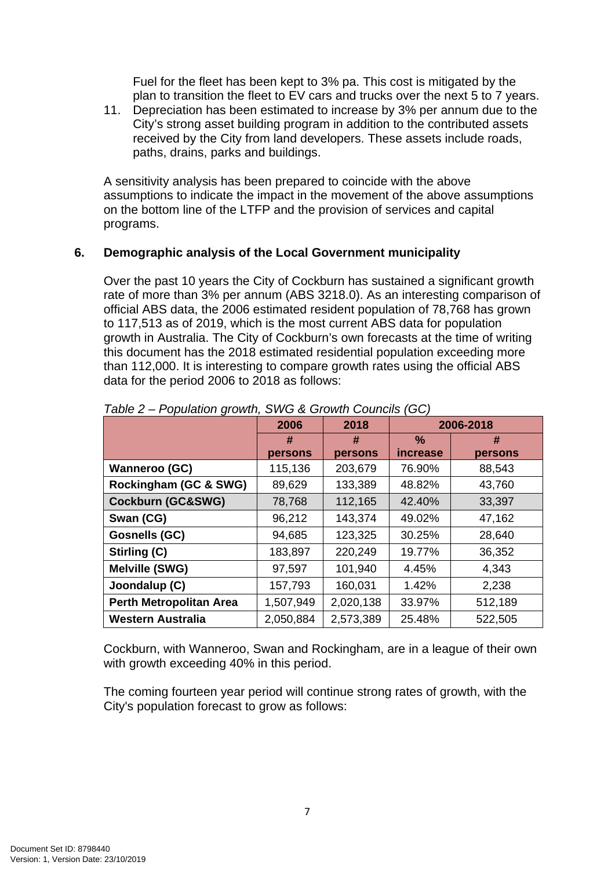Fuel for the fleet has been kept to 3% pa. This cost is mitigated by the plan to transition the fleet to EV cars and trucks over the next 5 to 7 years.

11. Depreciation has been estimated to increase by 3% per annum due to the City's strong asset building program in addition to the contributed assets received by the City from land developers. These assets include roads, paths, drains, parks and buildings.

A sensitivity analysis has been prepared to coincide with the above assumptions to indicate the impact in the movement of the above assumptions on the bottom line of the LTFP and the provision of services and capital programs.

# **6. Demographic analysis of the Local Government municipality**

Over the past 10 years the City of Cockburn has sustained a significant growth rate of more than 3% per annum (ABS 3218.0). As an interesting comparison of official ABS data, the 2006 estimated resident population of 78,768 has grown to 117,513 as of 2019, which is the most current ABS data for population growth in Australia. The City of Cockburn's own forecasts at the time of writing this document has the 2018 estimated residential population exceeding more than 112,000. It is interesting to compare growth rates using the official ABS data for the period 2006 to 2018 as follows:

|                                | 2006      | 2018      |                 | 2006-2018 |
|--------------------------------|-----------|-----------|-----------------|-----------|
|                                | #         | #         | ℅               | #         |
|                                | persons   | persons   | <i>increase</i> | persons   |
| <b>Wanneroo (GC)</b>           | 115,136   | 203,679   | 76.90%          | 88,543    |
| Rockingham (GC & SWG)          | 89,629    | 133,389   | 48.82%          | 43,760    |
| <b>Cockburn (GC&amp;SWG)</b>   | 78,768    | 112,165   | 42.40%          | 33,397    |
| Swan (CG)                      | 96,212    | 143,374   | 49.02%          | 47,162    |
| <b>Gosnells (GC)</b>           | 94,685    | 123,325   | 30.25%          | 28,640    |
| Stirling (C)                   | 183,897   | 220,249   | 19.77%          | 36,352    |
| <b>Melville (SWG)</b>          | 97,597    | 101,940   | 4.45%           | 4,343     |
| Joondalup (C)                  | 157,793   | 160,031   | 1.42%           | 2,238     |
| <b>Perth Metropolitan Area</b> | 1,507,949 | 2,020,138 | 33.97%          | 512,189   |
| <b>Western Australia</b>       | 2,050,884 | 2,573,389 | 25.48%          | 522,505   |

# *Table 2 – Population growth, SWG & Growth Councils (GC)*

Cockburn, with Wanneroo, Swan and Rockingham, are in a league of their own with growth exceeding 40% in this period.

The coming fourteen year period will continue strong rates of growth, with the City's population forecast to grow as follows: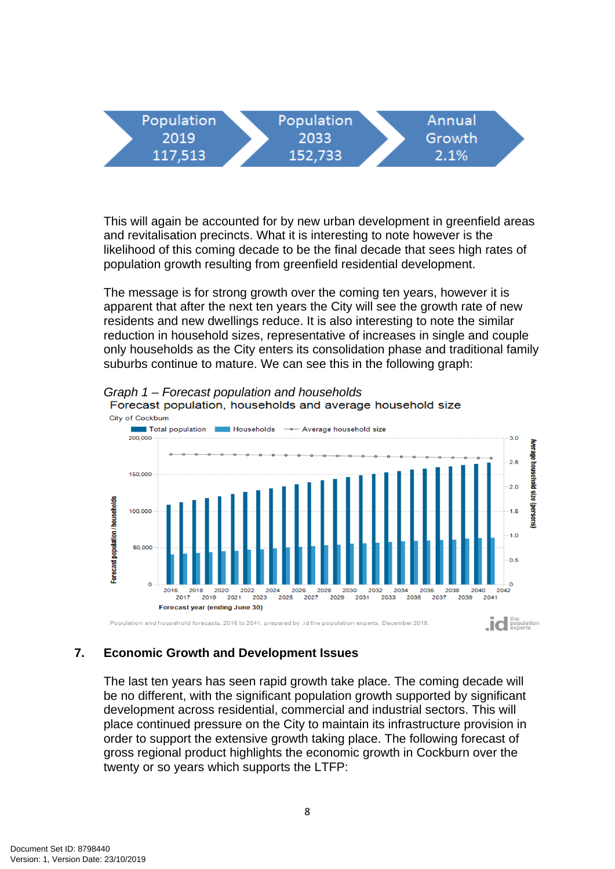| Population | Population |  | Annual |  |
|------------|------------|--|--------|--|
| 2019       | 2033       |  | Growth |  |
| 117.513    | 152.733    |  | 2.1%   |  |

This will again be accounted for by new urban development in greenfield areas and revitalisation precincts. What it is interesting to note however is the likelihood of this coming decade to be the final decade that sees high rates of population growth resulting from greenfield residential development.

The message is for strong growth over the coming ten years, however it is apparent that after the next ten years the City will see the growth rate of new residents and new dwellings reduce. It is also interesting to note the similar reduction in household sizes, representative of increases in single and couple only households as the City enters its consolidation phase and traditional family suburbs continue to mature. We can see this in the following graph:



*Graph 1 – Forecast population and households* 

# **7. Economic Growth and Development Issues**

The last ten years has seen rapid growth take place. The coming decade will be no different, with the significant population growth supported by significant development across residential, commercial and industrial sectors. This will place continued pressure on the City to maintain its infrastructure provision in order to support the extensive growth taking place. The following forecast of gross regional product highlights the economic growth in Cockburn over the twenty or so years which supports the LTFP: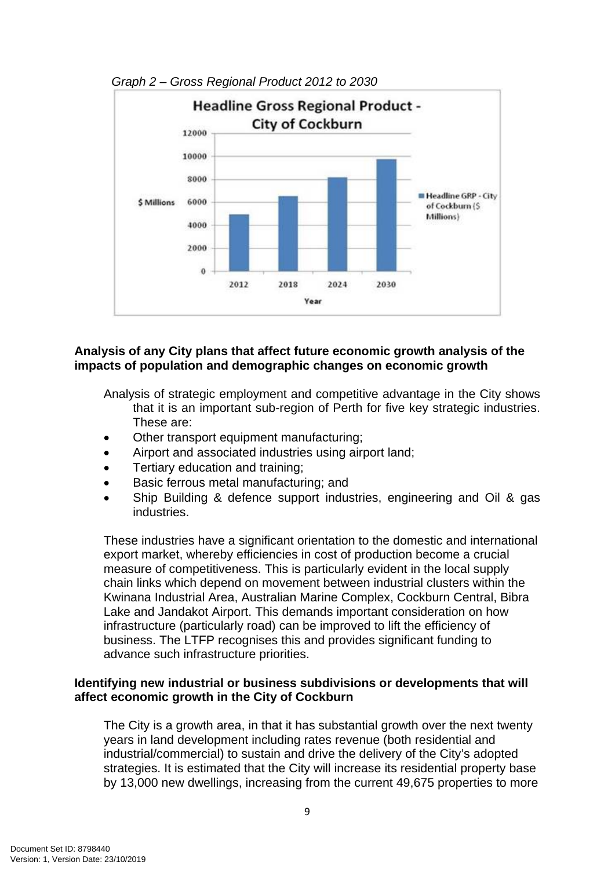

*Graph 2 – Gross Regional Product 2012 to 2030* 

# **Analysis of any City plans that affect future economic growth analysis of the impacts of population and demographic changes on economic growth**

Analysis of strategic employment and competitive advantage in the City shows that it is an important sub-region of Perth for five key strategic industries. These are:

- Other transport equipment manufacturing;
- Airport and associated industries using airport land:
- Tertiary education and training;
- Basic ferrous metal manufacturing; and
- Ship Building & defence support industries, engineering and Oil & gas industries.

These industries have a significant orientation to the domestic and international export market, whereby efficiencies in cost of production become a crucial measure of competitiveness. This is particularly evident in the local supply chain links which depend on movement between industrial clusters within the Kwinana Industrial Area, Australian Marine Complex, Cockburn Central, Bibra Lake and Jandakot Airport. This demands important consideration on how infrastructure (particularly road) can be improved to lift the efficiency of business. The LTFP recognises this and provides significant funding to advance such infrastructure priorities.

# **Identifying new industrial or business subdivisions or developments that will affect economic growth in the City of Cockburn**

The City is a growth area, in that it has substantial growth over the next twenty years in land development including rates revenue (both residential and industrial/commercial) to sustain and drive the delivery of the City's adopted strategies. It is estimated that the City will increase its residential property base by 13,000 new dwellings, increasing from the current 49,675 properties to more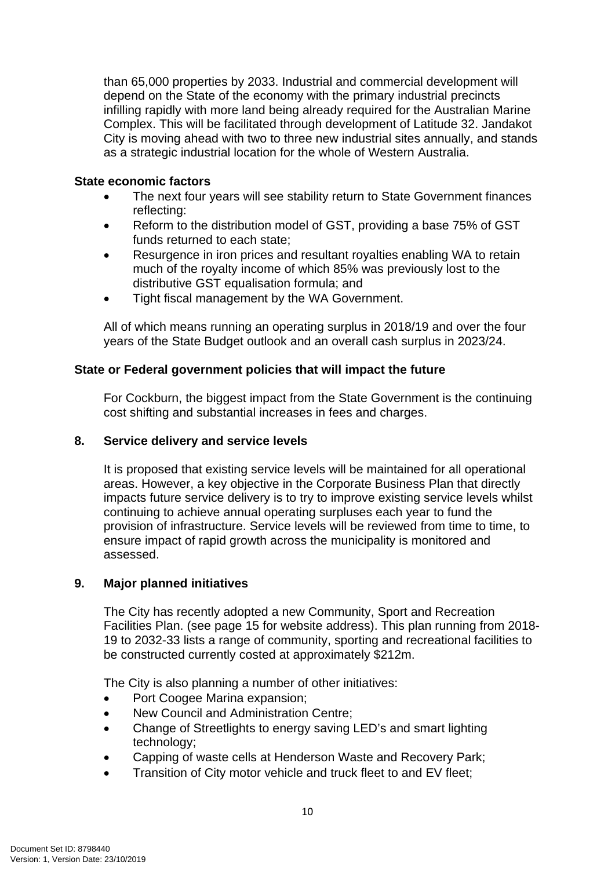than 65,000 properties by 2033. Industrial and commercial development will depend on the State of the economy with the primary industrial precincts infilling rapidly with more land being already required for the Australian Marine Complex. This will be facilitated through development of Latitude 32. Jandakot City is moving ahead with two to three new industrial sites annually, and stands as a strategic industrial location for the whole of Western Australia.

# **State economic factors**

- The next four years will see stability return to State Government finances reflecting:
- Reform to the distribution model of GST, providing a base 75% of GST funds returned to each state;
- Resurgence in iron prices and resultant royalties enabling WA to retain much of the royalty income of which 85% was previously lost to the distributive GST equalisation formula; and
- Tight fiscal management by the WA Government.

All of which means running an operating surplus in 2018/19 and over the four years of the State Budget outlook and an overall cash surplus in 2023/24.

# **State or Federal government policies that will impact the future**

For Cockburn, the biggest impact from the State Government is the continuing cost shifting and substantial increases in fees and charges.

# **8. Service delivery and service levels**

It is proposed that existing service levels will be maintained for all operational areas. However, a key objective in the Corporate Business Plan that directly impacts future service delivery is to try to improve existing service levels whilst continuing to achieve annual operating surpluses each year to fund the provision of infrastructure. Service levels will be reviewed from time to time, to ensure impact of rapid growth across the municipality is monitored and assessed.

# **9. Major planned initiatives**

The City has recently adopted a new Community, Sport and Recreation Facilities Plan. (see page 15 for website address). This plan running from 2018- 19 to 2032-33 lists a range of community, sporting and recreational facilities to be constructed currently costed at approximately \$212m.

The City is also planning a number of other initiatives:

- Port Coogee Marina expansion;
- New Council and Administration Centre;
- Change of Streetlights to energy saving LED's and smart lighting technology;
- Capping of waste cells at Henderson Waste and Recovery Park;
- Transition of City motor vehicle and truck fleet to and EV fleet;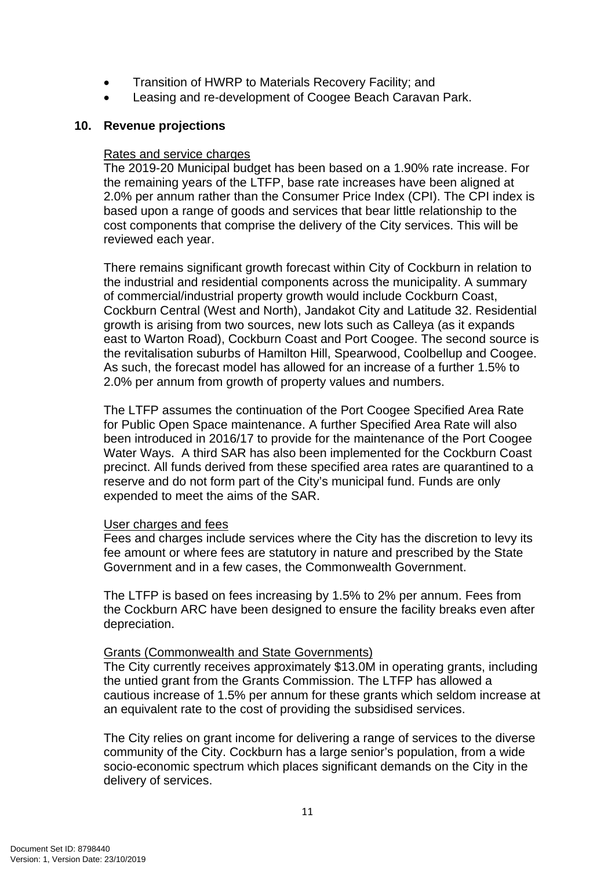- Transition of HWRP to Materials Recovery Facility; and
- Leasing and re-development of Coogee Beach Caravan Park.

# **10. Revenue projections**

# Rates and service charges

The 2019-20 Municipal budget has been based on a 1.90% rate increase. For the remaining years of the LTFP, base rate increases have been aligned at 2.0% per annum rather than the Consumer Price Index (CPI). The CPI index is based upon a range of goods and services that bear little relationship to the cost components that comprise the delivery of the City services. This will be reviewed each year.

There remains significant growth forecast within City of Cockburn in relation to the industrial and residential components across the municipality. A summary of commercial/industrial property growth would include Cockburn Coast, Cockburn Central (West and North), Jandakot City and Latitude 32. Residential growth is arising from two sources, new lots such as Calleya (as it expands east to Warton Road), Cockburn Coast and Port Coogee. The second source is the revitalisation suburbs of Hamilton Hill, Spearwood, Coolbellup and Coogee. As such, the forecast model has allowed for an increase of a further 1.5% to 2.0% per annum from growth of property values and numbers.

The LTFP assumes the continuation of the Port Coogee Specified Area Rate for Public Open Space maintenance. A further Specified Area Rate will also been introduced in 2016/17 to provide for the maintenance of the Port Coogee Water Ways. A third SAR has also been implemented for the Cockburn Coast precinct. All funds derived from these specified area rates are quarantined to a reserve and do not form part of the City's municipal fund. Funds are only expended to meet the aims of the SAR.

# User charges and fees

Fees and charges include services where the City has the discretion to levy its fee amount or where fees are statutory in nature and prescribed by the State Government and in a few cases, the Commonwealth Government.

The LTFP is based on fees increasing by 1.5% to 2% per annum. Fees from the Cockburn ARC have been designed to ensure the facility breaks even after depreciation.

# Grants (Commonwealth and State Governments)

The City currently receives approximately \$13.0M in operating grants, including the untied grant from the Grants Commission. The LTFP has allowed a cautious increase of 1.5% per annum for these grants which seldom increase at an equivalent rate to the cost of providing the subsidised services.

The City relies on grant income for delivering a range of services to the diverse community of the City. Cockburn has a large senior's population, from a wide socio-economic spectrum which places significant demands on the City in the delivery of services.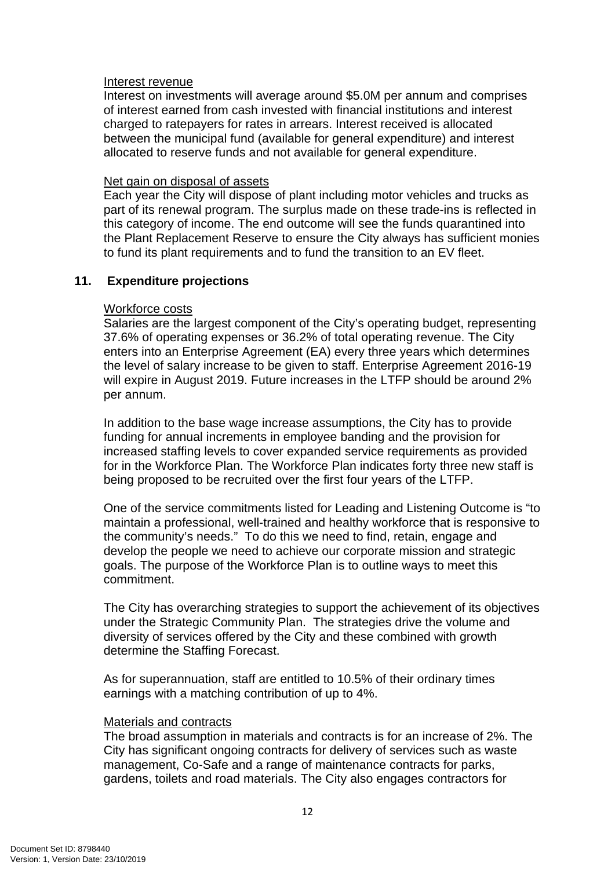#### Interest revenue

Interest on investments will average around \$5.0M per annum and comprises of interest earned from cash invested with financial institutions and interest charged to ratepayers for rates in arrears. Interest received is allocated between the municipal fund (available for general expenditure) and interest allocated to reserve funds and not available for general expenditure.

#### Net gain on disposal of assets

Each year the City will dispose of plant including motor vehicles and trucks as part of its renewal program. The surplus made on these trade-ins is reflected in this category of income. The end outcome will see the funds quarantined into the Plant Replacement Reserve to ensure the City always has sufficient monies to fund its plant requirements and to fund the transition to an EV fleet.

# **11. Expenditure projections**

#### Workforce costs

Salaries are the largest component of the City's operating budget, representing 37.6% of operating expenses or 36.2% of total operating revenue. The City enters into an Enterprise Agreement (EA) every three years which determines the level of salary increase to be given to staff. Enterprise Agreement 2016-19 will expire in August 2019. Future increases in the LTFP should be around 2% per annum.

In addition to the base wage increase assumptions, the City has to provide funding for annual increments in employee banding and the provision for increased staffing levels to cover expanded service requirements as provided for in the Workforce Plan. The Workforce Plan indicates forty three new staff is being proposed to be recruited over the first four years of the LTFP.

One of the service commitments listed for Leading and Listening Outcome is "to maintain a professional, well-trained and healthy workforce that is responsive to the community's needs." To do this we need to find, retain, engage and develop the people we need to achieve our corporate mission and strategic goals. The purpose of the Workforce Plan is to outline ways to meet this commitment.

The City has overarching strategies to support the achievement of its objectives under the Strategic Community Plan. The strategies drive the volume and diversity of services offered by the City and these combined with growth determine the Staffing Forecast.

As for superannuation, staff are entitled to 10.5% of their ordinary times earnings with a matching contribution of up to 4%.

#### Materials and contracts

The broad assumption in materials and contracts is for an increase of 2%. The City has significant ongoing contracts for delivery of services such as waste management, Co-Safe and a range of maintenance contracts for parks, gardens, toilets and road materials. The City also engages contractors for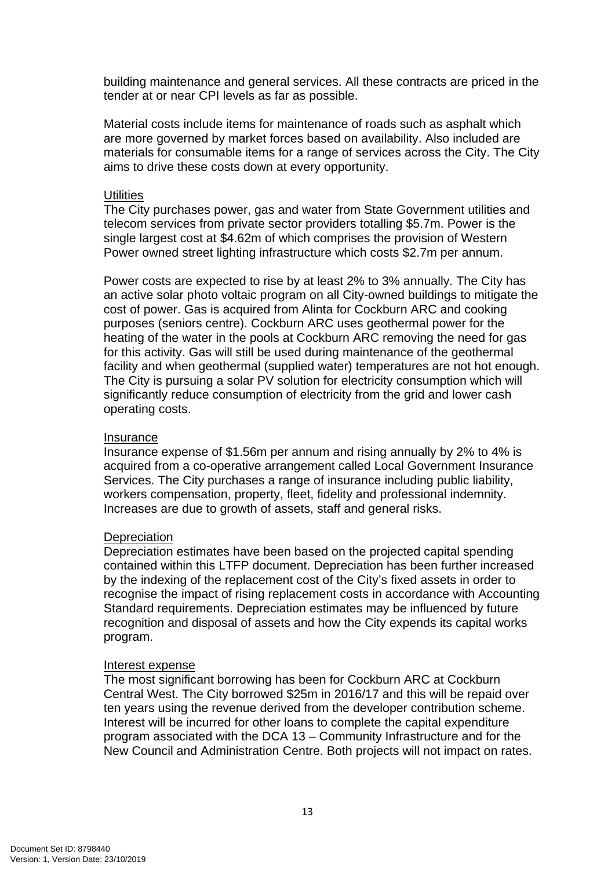building maintenance and general services. All these contracts are priced in the tender at or near CPI levels as far as possible.

Material costs include items for maintenance of roads such as asphalt which are more governed by market forces based on availability. Also included are materials for consumable items for a range of services across the City. The City aims to drive these costs down at every opportunity.

# **Utilities**

The City purchases power, gas and water from State Government utilities and telecom services from private sector providers totalling \$5.7m. Power is the single largest cost at \$4.62m of which comprises the provision of Western Power owned street lighting infrastructure which costs \$2.7m per annum.

Power costs are expected to rise by at least 2% to 3% annually. The City has an active solar photo voltaic program on all City-owned buildings to mitigate the cost of power. Gas is acquired from Alinta for Cockburn ARC and cooking purposes (seniors centre). Cockburn ARC uses geothermal power for the heating of the water in the pools at Cockburn ARC removing the need for gas for this activity. Gas will still be used during maintenance of the geothermal facility and when geothermal (supplied water) temperatures are not hot enough. The City is pursuing a solar PV solution for electricity consumption which will significantly reduce consumption of electricity from the grid and lower cash operating costs.

#### Insurance

Insurance expense of \$1.56m per annum and rising annually by 2% to 4% is acquired from a co-operative arrangement called Local Government Insurance Services. The City purchases a range of insurance including public liability, workers compensation, property, fleet, fidelity and professional indemnity. Increases are due to growth of assets, staff and general risks.

# **Depreciation**

Depreciation estimates have been based on the projected capital spending contained within this LTFP document. Depreciation has been further increased by the indexing of the replacement cost of the City's fixed assets in order to recognise the impact of rising replacement costs in accordance with Accounting Standard requirements. Depreciation estimates may be influenced by future recognition and disposal of assets and how the City expends its capital works program.

#### Interest expense

The most significant borrowing has been for Cockburn ARC at Cockburn Central West. The City borrowed \$25m in 2016/17 and this will be repaid over ten years using the revenue derived from the developer contribution scheme. Interest will be incurred for other loans to complete the capital expenditure program associated with the DCA 13 – Community Infrastructure and for the New Council and Administration Centre. Both projects will not impact on rates.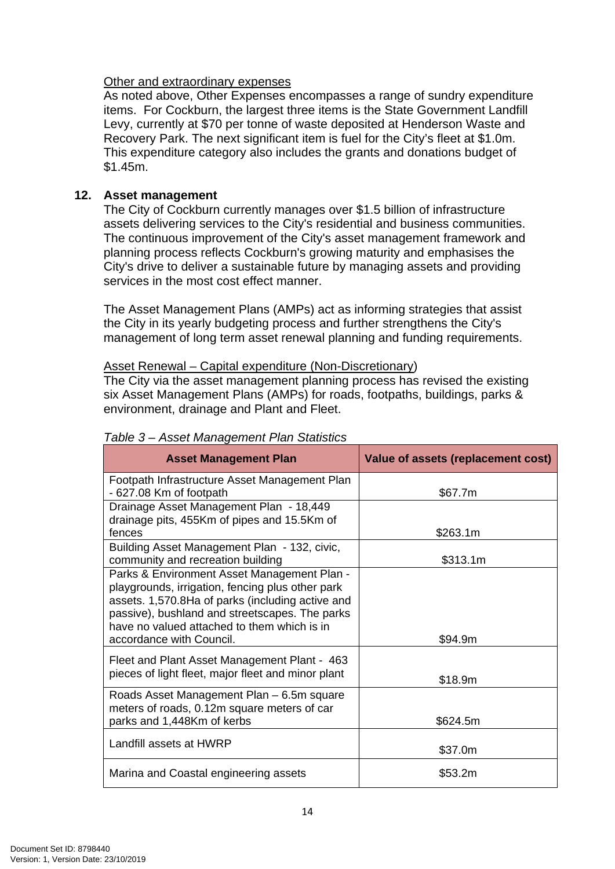# Other and extraordinary expenses

As noted above, Other Expenses encompasses a range of sundry expenditure items. For Cockburn, the largest three items is the State Government Landfill Levy, currently at \$70 per tonne of waste deposited at Henderson Waste and Recovery Park. The next significant item is fuel for the City's fleet at \$1.0m. This expenditure category also includes the grants and donations budget of \$1.45m.

# **12. Asset management**

The City of Cockburn currently manages over \$1.5 billion of infrastructure assets delivering services to the City's residential and business communities. The continuous improvement of the City's asset management framework and planning process reflects Cockburn's growing maturity and emphasises the City's drive to deliver a sustainable future by managing assets and providing services in the most cost effect manner.

The Asset Management Plans (AMPs) act as informing strategies that assist the City in its yearly budgeting process and further strengthens the City's management of long term asset renewal planning and funding requirements.

# Asset Renewal – Capital expenditure (Non-Discretionary)

The City via the asset management planning process has revised the existing six Asset Management Plans (AMPs) for roads, footpaths, buildings, parks & environment, drainage and Plant and Fleet.

| <b>Asset Management Plan</b>                                                             | Value of assets (replacement cost) |
|------------------------------------------------------------------------------------------|------------------------------------|
| Footpath Infrastructure Asset Management Plan                                            |                                    |
| - 627.08 Km of footpath                                                                  | \$67.7m                            |
| Drainage Asset Management Plan - 18,449                                                  |                                    |
| drainage pits, 455Km of pipes and 15.5Km of                                              |                                    |
| fences                                                                                   | \$263.1m                           |
| Building Asset Management Plan - 132, civic,                                             |                                    |
| community and recreation building                                                        | \$313.1m                           |
| Parks & Environment Asset Management Plan -                                              |                                    |
| playgrounds, irrigation, fencing plus other park                                         |                                    |
| assets. 1,570.8Ha of parks (including active and                                         |                                    |
| passive), bushland and streetscapes. The parks                                           |                                    |
| have no valued attached to them which is in                                              |                                    |
| accordance with Council.                                                                 | \$94.9m                            |
| Fleet and Plant Asset Management Plant - 463                                             |                                    |
| pieces of light fleet, major fleet and minor plant                                       | \$18.9m                            |
|                                                                                          |                                    |
| Roads Asset Management Plan - 6.5m square<br>meters of roads, 0.12m square meters of car |                                    |
| parks and 1,448Km of kerbs                                                               | \$624.5m                           |
|                                                                                          |                                    |
| Landfill assets at HWRP                                                                  | \$37.0m                            |
|                                                                                          |                                    |
| Marina and Coastal engineering assets                                                    | \$53.2m                            |

# *Table 3 – Asset Management Plan Statistics*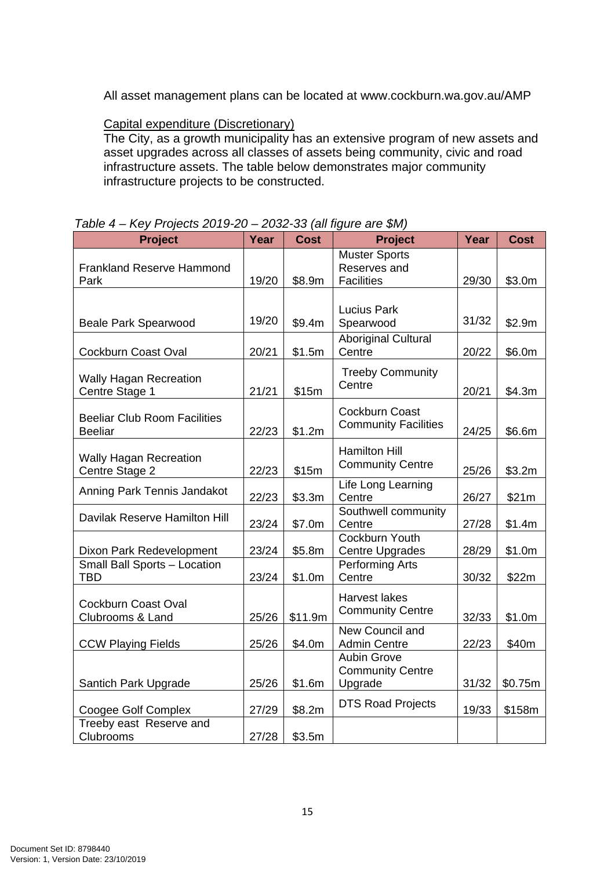All asset management plans can be located at www.cockburn.wa.gov.au/AMP

# Capital expenditure (Discretionary)

The City, as a growth municipality has an extensive program of new assets and asset upgrades across all classes of assets being community, civic and road infrastructure assets. The table below demonstrates major community infrastructure projects to be constructed.

| <b>Project</b>                                        | Year  | <b>Cost</b> | <b>Project</b>                                            | Year  | <b>Cost</b> |
|-------------------------------------------------------|-------|-------------|-----------------------------------------------------------|-------|-------------|
| <b>Frankland Reserve Hammond</b><br>Park              | 19/20 | \$8.9m      | <b>Muster Sports</b><br>Reserves and<br><b>Facilities</b> | 29/30 | \$3.0m      |
| <b>Beale Park Spearwood</b>                           | 19/20 | \$9.4m      | <b>Lucius Park</b><br>Spearwood                           | 31/32 | \$2.9m      |
| Cockburn Coast Oval                                   | 20/21 | \$1.5m      | <b>Aboriginal Cultural</b><br>Centre                      | 20/22 | \$6.0m      |
| <b>Wally Hagan Recreation</b><br>Centre Stage 1       | 21/21 | \$15m       | <b>Treeby Community</b><br>Centre                         | 20/21 | \$4.3m      |
| <b>Beeliar Club Room Facilities</b><br><b>Beeliar</b> | 22/23 | \$1.2m      | Cockburn Coast<br><b>Community Facilities</b>             | 24/25 | \$6.6m      |
| <b>Wally Hagan Recreation</b><br>Centre Stage 2       | 22/23 | \$15m       | <b>Hamilton Hill</b><br><b>Community Centre</b>           | 25/26 | \$3.2m      |
| Anning Park Tennis Jandakot                           | 22/23 | \$3.3m      | Life Long Learning<br>Centre                              | 26/27 | \$21m       |
| Davilak Reserve Hamilton Hill                         | 23/24 | \$7.0m      | Southwell community<br>Centre                             | 27/28 | \$1.4m      |
| Dixon Park Redevelopment                              | 23/24 | \$5.8m      | Cockburn Youth<br><b>Centre Upgrades</b>                  | 28/29 | \$1.0m      |
| Small Ball Sports - Location<br><b>TBD</b>            | 23/24 | \$1.0m      | <b>Performing Arts</b><br>Centre                          | 30/32 | \$22m       |
| Cockburn Coast Oval<br>Clubrooms & Land               | 25/26 | \$11.9m     | <b>Harvest lakes</b><br><b>Community Centre</b>           | 32/33 | \$1.0m      |
| <b>CCW Playing Fields</b>                             | 25/26 | \$4.0m      | New Council and<br><b>Admin Centre</b>                    | 22/23 | \$40m       |
| Santich Park Upgrade                                  | 25/26 | \$1.6m      | <b>Aubin Grove</b><br><b>Community Centre</b><br>Upgrade  | 31/32 | \$0.75m     |
| Coogee Golf Complex                                   | 27/29 | \$8.2m      | <b>DTS Road Projects</b>                                  | 19/33 | \$158m      |
| Treeby east Reserve and<br><b>Clubrooms</b>           | 27/28 | \$3.5m      |                                                           |       |             |

# *Table 4 – Key Projects 2019-20 – 2032-33 (all figure are \$M)*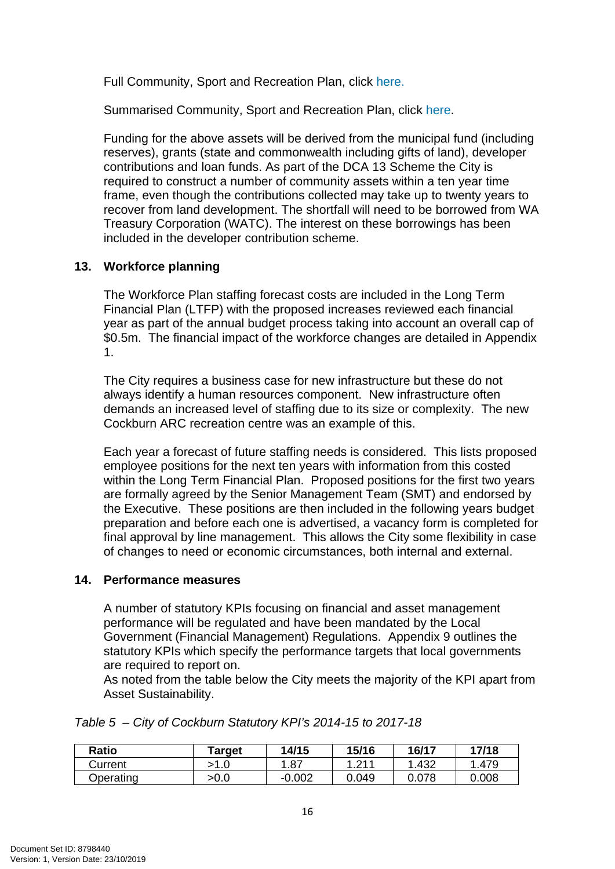Full Community, Sport and Recreation Plan, click here.

Summarised Community, Sport and Recreation Plan, click here.

Funding for the above assets will be derived from the municipal fund (including reserves), grants (state and commonwealth including gifts of land), developer contributions and loan funds. As part of the DCA 13 Scheme the City is required to construct a number of community assets within a ten year time frame, even though the contributions collected may take up to twenty years to recover from land development. The shortfall will need to be borrowed from WA Treasury Corporation (WATC). The interest on these borrowings has been included in the developer contribution scheme.

# **13. Workforce planning**

The Workforce Plan staffing forecast costs are included in the Long Term Financial Plan (LTFP) with the proposed increases reviewed each financial year as part of the annual budget process taking into account an overall cap of \$0.5m. The financial impact of the workforce changes are detailed in Appendix 1.

The City requires a business case for new infrastructure but these do not always identify a human resources component. New infrastructure often demands an increased level of staffing due to its size or complexity. The new Cockburn ARC recreation centre was an example of this.

Each year a forecast of future staffing needs is considered. This lists proposed employee positions for the next ten years with information from this costed within the Long Term Financial Plan. Proposed positions for the first two years are formally agreed by the Senior Management Team (SMT) and endorsed by the Executive. These positions are then included in the following years budget preparation and before each one is advertised, a vacancy form is completed for final approval by line management. This allows the City some flexibility in case of changes to need or economic circumstances, both internal and external.

# **14. Performance measures**

A number of statutory KPIs focusing on financial and asset management performance will be regulated and have been mandated by the Local Government (Financial Management) Regulations. Appendix 9 outlines the statutory KPIs which specify the performance targets that local governments are required to report on.

As noted from the table below the City meets the majority of the KPI apart from Asset Sustainability.

| Ratio     | Target | 14/15    | 15/16             | 16/17 | 17/18 |
|-----------|--------|----------|-------------------|-------|-------|
| Current   |        | .87      | $^{0.14}$<br>$-L$ | .432  | .479  |
| Dperating | >0.0   | $-0.002$ | 0.049             | 0.078 | 0.008 |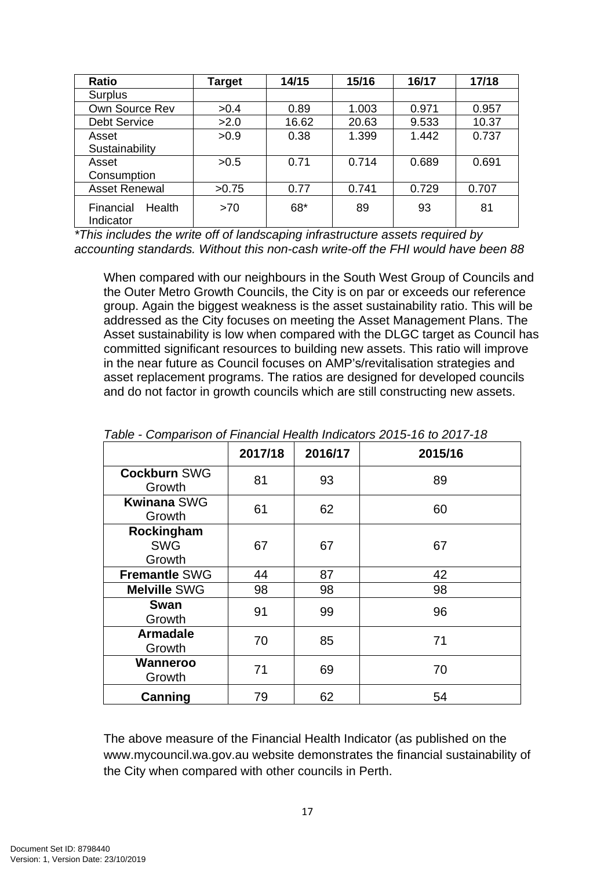| <b>Ratio</b>                            | Target | 14/15 | 15/16 | 16/17 | 17/18 |
|-----------------------------------------|--------|-------|-------|-------|-------|
| Surplus                                 |        |       |       |       |       |
| Own Source Rev                          | >0.4   | 0.89  | 1.003 | 0.971 | 0.957 |
| <b>Debt Service</b>                     | >2.0   | 16.62 | 20.63 | 9.533 | 10.37 |
| Asset                                   | >0.9   | 0.38  | 1.399 | 1.442 | 0.737 |
| Sustainability                          |        |       |       |       |       |
| Asset                                   | >0.5   | 0.71  | 0.714 | 0.689 | 0.691 |
| Consumption                             |        |       |       |       |       |
| <b>Asset Renewal</b>                    | >0.75  | 0.77  | 0.741 | 0.729 | 0.707 |
| <b>Health</b><br>Financial<br>Indicator | >70    | 68*   | 89    | 93    | 81    |

*\*This includes the write off of landscaping infrastructure assets required by accounting standards. Without this non-cash write-off the FHI would have been 88* 

When compared with our neighbours in the South West Group of Councils and the Outer Metro Growth Councils, the City is on par or exceeds our reference group. Again the biggest weakness is the asset sustainability ratio. This will be addressed as the City focuses on meeting the Asset Management Plans. The Asset sustainability is low when compared with the DLGC target as Council has committed significant resources to building new assets. This ratio will improve in the near future as Council focuses on AMP's/revitalisation strategies and asset replacement programs. The ratios are designed for developed councils and do not factor in growth councils which are still constructing new assets.

|                                    | 2017/18 | 2016/17 | 2015/16 |
|------------------------------------|---------|---------|---------|
| <b>Cockburn SWG</b><br>Growth      | 81      | 93      | 89      |
| <b>Kwinana SWG</b><br>Growth       | 61      | 62      | 60      |
| Rockingham<br><b>SWG</b><br>Growth | 67      | 67      | 67      |
| <b>Fremantle SWG</b>               | 44      | 87      | 42      |
| <b>Melville SWG</b>                | 98      | 98      | 98      |
| Swan<br>Growth                     | 91      | 99      | 96      |
| <b>Armadale</b><br>Growth          | 70      | 85      | 71      |
| Wanneroo<br>Growth                 | 71      | 69      | 70      |
| Canning                            | 79      | 62      | 54      |

*Table - Comparison of Financial Health Indicators 2015-16 to 2017-18* 

The above measure of the Financial Health Indicator (as published on the www.mycouncil.wa.gov.au website demonstrates the financial sustainability of the City when compared with other councils in Perth.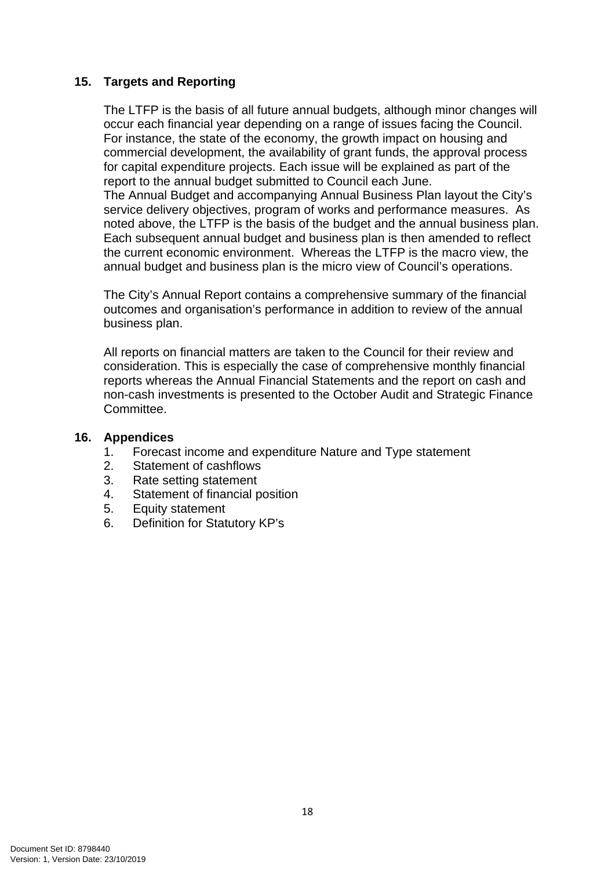# **15. Targets and Reporting**

The LTFP is the basis of all future annual budgets, although minor changes will occur each financial year depending on a range of issues facing the Council. For instance, the state of the economy, the growth impact on housing and commercial development, the availability of grant funds, the approval process for capital expenditure projects. Each issue will be explained as part of the report to the annual budget submitted to Council each June.

The Annual Budget and accompanying Annual Business Plan layout the City's service delivery objectives, program of works and performance measures. As noted above, the LTFP is the basis of the budget and the annual business plan. Each subsequent annual budget and business plan is then amended to reflect the current economic environment. Whereas the LTFP is the macro view, the annual budget and business plan is the micro view of Council's operations.

The City's Annual Report contains a comprehensive summary of the financial outcomes and organisation's performance in addition to review of the annual business plan.

All reports on financial matters are taken to the Council for their review and consideration. This is especially the case of comprehensive monthly financial reports whereas the Annual Financial Statements and the report on cash and non-cash investments is presented to the October Audit and Strategic Finance Committee.

#### **16. Appendices**

- 1. Forecast income and expenditure Nature and Type statement
- 2. Statement of cashflows
- 3. Rate setting statement
- 4. Statement of financial position
- 5. Equity statement
- 6. Definition for Statutory KP's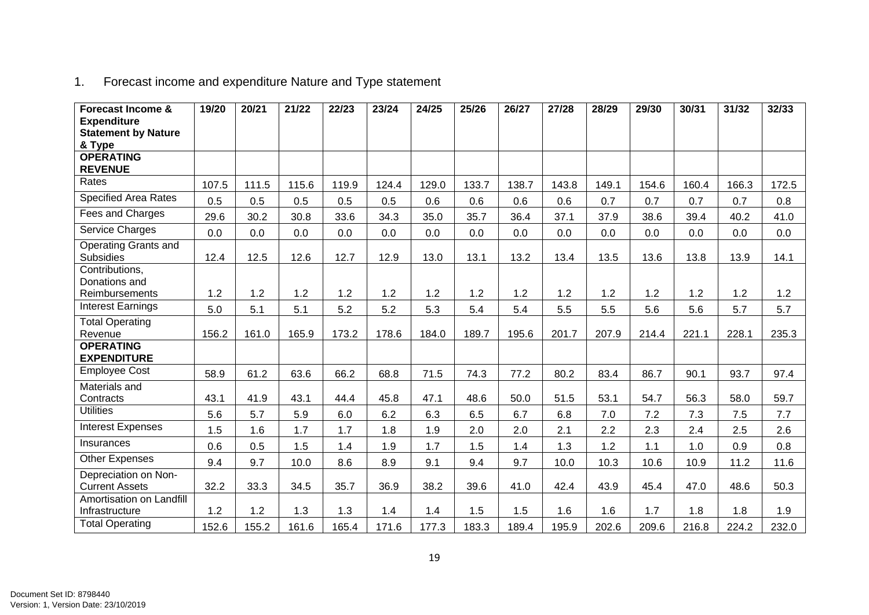| <b>Forecast Income &amp;</b>                  | 19/20 | 20/21 | 21/22 | 22/23 | 23/24 | 24/25 | 25/26 | 26/27 | 27/28 | 28/29 | 29/30 | 30/31 | 31/32 | 32/33 |
|-----------------------------------------------|-------|-------|-------|-------|-------|-------|-------|-------|-------|-------|-------|-------|-------|-------|
| <b>Expenditure</b>                            |       |       |       |       |       |       |       |       |       |       |       |       |       |       |
| <b>Statement by Nature</b>                    |       |       |       |       |       |       |       |       |       |       |       |       |       |       |
| & Type                                        |       |       |       |       |       |       |       |       |       |       |       |       |       |       |
| <b>OPERATING</b><br><b>REVENUE</b>            |       |       |       |       |       |       |       |       |       |       |       |       |       |       |
| Rates                                         | 107.5 | 111.5 | 115.6 | 119.9 | 124.4 | 129.0 | 133.7 | 138.7 | 143.8 | 149.1 | 154.6 | 160.4 | 166.3 | 172.5 |
| <b>Specified Area Rates</b>                   | 0.5   | 0.5   | 0.5   | 0.5   | 0.5   | 0.6   | 0.6   | 0.6   | 0.6   | 0.7   | 0.7   | 0.7   | 0.7   | 0.8   |
| Fees and Charges                              | 29.6  | 30.2  | 30.8  | 33.6  | 34.3  | 35.0  | 35.7  | 36.4  | 37.1  | 37.9  | 38.6  | 39.4  | 40.2  | 41.0  |
| Service Charges                               | 0.0   | 0.0   | 0.0   | 0.0   | 0.0   | 0.0   | 0.0   | 0.0   | 0.0   | 0.0   | 0.0   | 0.0   | 0.0   | 0.0   |
| Operating Grants and<br><b>Subsidies</b>      | 12.4  | 12.5  | 12.6  | 12.7  | 12.9  | 13.0  | 13.1  | 13.2  | 13.4  | 13.5  | 13.6  | 13.8  | 13.9  | 14.1  |
| Contributions,<br>Donations and               |       |       |       |       |       |       |       |       |       |       |       |       |       |       |
| Reimbursements                                | 1.2   | 1.2   | 1.2   | 1.2   | 1.2   | 1.2   | 1.2   | 1.2   | 1.2   | 1.2   | 1.2   | 1.2   | 1.2   | 1.2   |
| <b>Interest Earnings</b>                      | 5.0   | 5.1   | 5.1   | 5.2   | 5.2   | 5.3   | 5.4   | 5.4   | 5.5   | 5.5   | 5.6   | 5.6   | 5.7   | 5.7   |
| <b>Total Operating</b><br>Revenue             | 156.2 | 161.0 | 165.9 | 173.2 | 178.6 | 184.0 | 189.7 | 195.6 | 201.7 | 207.9 | 214.4 | 221.1 | 228.1 | 235.3 |
| <b>OPERATING</b><br><b>EXPENDITURE</b>        |       |       |       |       |       |       |       |       |       |       |       |       |       |       |
| <b>Employee Cost</b>                          | 58.9  | 61.2  | 63.6  | 66.2  | 68.8  | 71.5  | 74.3  | 77.2  | 80.2  | 83.4  | 86.7  | 90.1  | 93.7  | 97.4  |
| <b>Materials and</b><br>Contracts             | 43.1  | 41.9  | 43.1  | 44.4  | 45.8  | 47.1  | 48.6  | 50.0  | 51.5  | 53.1  | 54.7  | 56.3  | 58.0  | 59.7  |
| <b>Utilities</b>                              | 5.6   | 5.7   | 5.9   | 6.0   | 6.2   | 6.3   | 6.5   | 6.7   | 6.8   | 7.0   | 7.2   | 7.3   | 7.5   | 7.7   |
| <b>Interest Expenses</b>                      | 1.5   | 1.6   | 1.7   | 1.7   | 1.8   | 1.9   | 2.0   | 2.0   | 2.1   | 2.2   | 2.3   | 2.4   | 2.5   | 2.6   |
| Insurances                                    | 0.6   | 0.5   | 1.5   | 1.4   | 1.9   | 1.7   | 1.5   | 1.4   | 1.3   | 1.2   | 1.1   | 1.0   | 0.9   | 0.8   |
| <b>Other Expenses</b>                         | 9.4   | 9.7   | 10.0  | 8.6   | 8.9   | 9.1   | 9.4   | 9.7   | 10.0  | 10.3  | 10.6  | 10.9  | 11.2  | 11.6  |
| Depreciation on Non-<br><b>Current Assets</b> | 32.2  | 33.3  | 34.5  | 35.7  | 36.9  | 38.2  | 39.6  | 41.0  | 42.4  | 43.9  | 45.4  | 47.0  | 48.6  | 50.3  |
| Amortisation on Landfill<br>Infrastructure    | 1.2   | 1.2   | 1.3   | 1.3   | 1.4   | 1.4   | 1.5   | 1.5   | 1.6   | 1.6   | 1.7   | 1.8   | 1.8   | 1.9   |
| <b>Total Operating</b>                        | 152.6 | 155.2 | 161.6 | 165.4 | 171.6 | 177.3 | 183.3 | 189.4 | 195.9 | 202.6 | 209.6 | 216.8 | 224.2 | 232.0 |

# 1. Forecast income and expenditure Nature and Type statement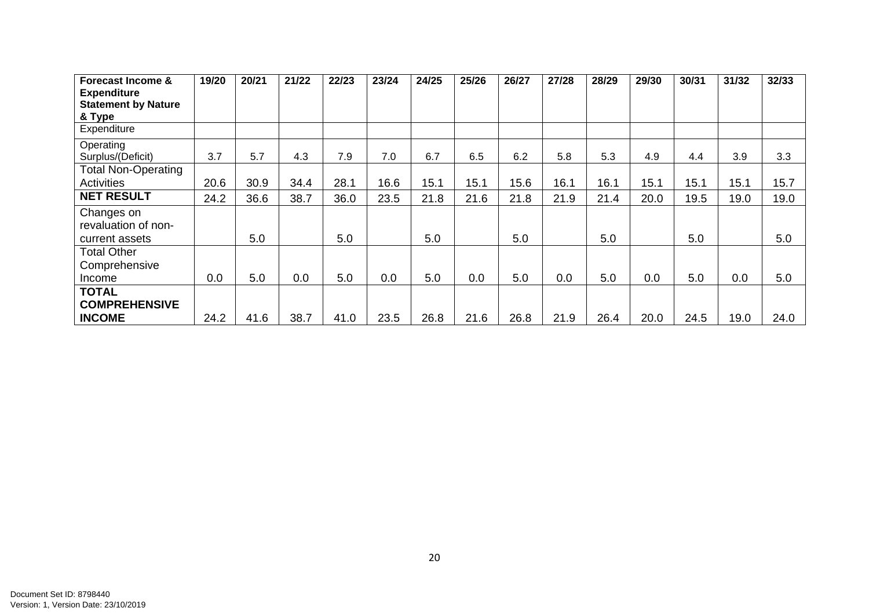| <b>Forecast Income &amp;</b><br><b>Expenditure</b>  | 19/20 | 20/21 | 21/22 | 22/23 | 23/24 | 24/25 | 25/26 | 26/27 | 27/28 | 28/29 | 29/30 | 30/31 | 31/32 | 32/33 |
|-----------------------------------------------------|-------|-------|-------|-------|-------|-------|-------|-------|-------|-------|-------|-------|-------|-------|
| <b>Statement by Nature</b><br>& Type                |       |       |       |       |       |       |       |       |       |       |       |       |       |       |
| Expenditure                                         |       |       |       |       |       |       |       |       |       |       |       |       |       |       |
| Operating<br>Surplus/(Deficit)                      | 3.7   | 5.7   | 4.3   | 7.9   | 7.0   | 6.7   | 6.5   | 6.2   | 5.8   | 5.3   | 4.9   | 4.4   | 3.9   | 3.3   |
| <b>Total Non-Operating</b><br><b>Activities</b>     | 20.6  | 30.9  | 34.4  | 28.1  | 16.6  | 15.1  | 15.1  | 15.6  | 16.1  | 16.1  | 15.1  | 15.1  | 15.1  | 15.7  |
| <b>NET RESULT</b>                                   | 24.2  | 36.6  | 38.7  | 36.0  | 23.5  | 21.8  | 21.6  | 21.8  | 21.9  | 21.4  | 20.0  | 19.5  | 19.0  | 19.0  |
| Changes on<br>revaluation of non-<br>current assets |       | 5.0   |       | 5.0   |       | 5.0   |       | 5.0   |       | 5.0   |       | 5.0   |       | 5.0   |
| <b>Total Other</b><br>Comprehensive                 |       |       |       |       |       |       |       |       |       |       |       |       |       |       |
| Income                                              | 0.0   | 5.0   | 0.0   | 5.0   | 0.0   | 5.0   | 0.0   | 5.0   | 0.0   | 5.0   | 0.0   | 5.0   | 0.0   | 5.0   |
| <b>TOTAL</b><br><b>COMPREHENSIVE</b>                |       |       |       |       |       |       |       |       |       |       |       |       |       |       |
| <b>INCOME</b>                                       | 24.2  | 41.6  | 38.7  | 41.0  | 23.5  | 26.8  | 21.6  | 26.8  | 21.9  | 26.4  | 20.0  | 24.5  | 19.0  | 24.0  |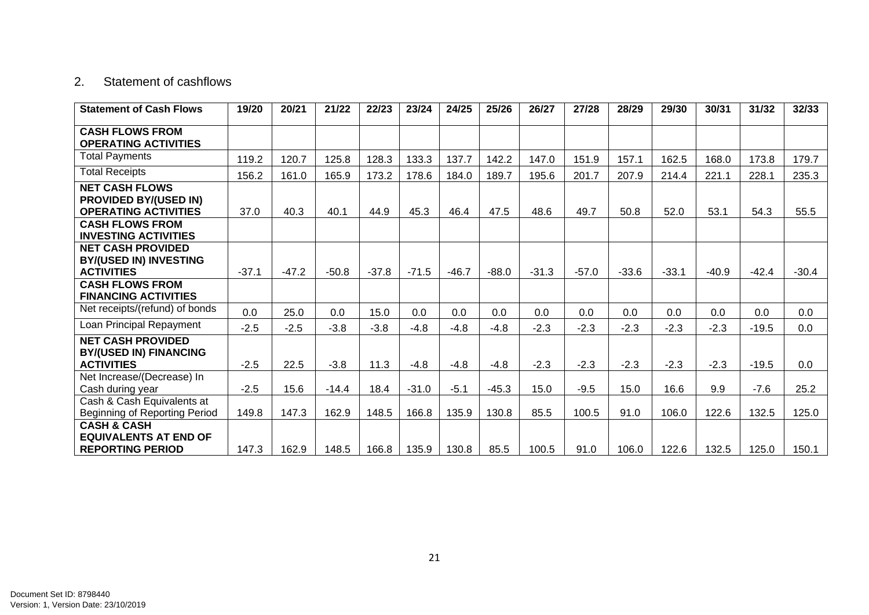#### 2. Statement of cashflows

| <b>Statement of Cash Flows</b>                                                       | 19/20   | 20/21   | 21/22   | 22/23   | 23/24   | 24/25   | 25/26   | 26/27   | 27/28   | 28/29   | 29/30   | 30/31   | 31/32   | 32/33   |
|--------------------------------------------------------------------------------------|---------|---------|---------|---------|---------|---------|---------|---------|---------|---------|---------|---------|---------|---------|
| <b>CASH FLOWS FROM</b><br><b>OPERATING ACTIVITIES</b>                                |         |         |         |         |         |         |         |         |         |         |         |         |         |         |
| <b>Total Payments</b>                                                                | 119.2   | 120.7   | 125.8   | 128.3   | 133.3   | 137.7   | 142.2   | 147.0   | 151.9   | 157.1   | 162.5   | 168.0   | 173.8   | 179.7   |
| <b>Total Receipts</b>                                                                | 156.2   | 161.0   | 165.9   | 173.2   | 178.6   | 184.0   | 189.7   | 195.6   | 201.7   | 207.9   | 214.4   | 221.1   | 228.1   | 235.3   |
| <b>NET CASH FLOWS</b><br><b>PROVIDED BY/(USED IN)</b><br><b>OPERATING ACTIVITIES</b> | 37.0    | 40.3    | 40.1    | 44.9    | 45.3    | 46.4    | 47.5    | 48.6    | 49.7    | 50.8    | 52.0    | 53.1    | 54.3    | 55.5    |
| <b>CASH FLOWS FROM</b><br><b>INVESTING ACTIVITIES</b>                                |         |         |         |         |         |         |         |         |         |         |         |         |         |         |
| <b>NET CASH PROVIDED</b><br><b>BY/(USED IN) INVESTING</b><br><b>ACTIVITIES</b>       | $-37.1$ | $-47.2$ | $-50.8$ | $-37.8$ | $-71.5$ | $-46.7$ | $-88.0$ | $-31.3$ | $-57.0$ | $-33.6$ | $-33.1$ | $-40.9$ | $-42.4$ | $-30.4$ |
| <b>CASH FLOWS FROM</b><br><b>FINANCING ACTIVITIES</b>                                |         |         |         |         |         |         |         |         |         |         |         |         |         |         |
| Net receipts/(refund) of bonds                                                       | 0.0     | 25.0    | 0.0     | 15.0    | 0.0     | 0.0     | 0.0     | 0.0     | 0.0     | 0.0     | 0.0     | 0.0     | 0.0     | 0.0     |
| Loan Principal Repayment                                                             | $-2.5$  | $-2.5$  | $-3.8$  | $-3.8$  | $-4.8$  | $-4.8$  | $-4.8$  | $-2.3$  | $-2.3$  | $-2.3$  | $-2.3$  | $-2.3$  | $-19.5$ | 0.0     |
| <b>NET CASH PROVIDED</b><br><b>BY/(USED IN) FINANCING</b>                            |         |         |         |         |         |         |         |         |         |         |         |         |         |         |
| <b>ACTIVITIES</b>                                                                    | $-2.5$  | 22.5    | $-3.8$  | 11.3    | $-4.8$  | $-4.8$  | $-4.8$  | $-2.3$  | $-2.3$  | $-2.3$  | $-2.3$  | $-2.3$  | $-19.5$ | 0.0     |
| Net Increase/(Decrease) In<br>Cash during year                                       | $-2.5$  | 15.6    | $-14.4$ | 18.4    | $-31.0$ | $-5.1$  | $-45.3$ | 15.0    | $-9.5$  | 15.0    | 16.6    | 9.9     | $-7.6$  | 25.2    |
| Cash & Cash Equivalents at<br>Beginning of Reporting Period                          | 149.8   | 147.3   | 162.9   | 148.5   | 166.8   | 135.9   | 130.8   | 85.5    | 100.5   | 91.0    | 106.0   | 122.6   | 132.5   | 125.0   |
| <b>CASH &amp; CASH</b><br><b>EQUIVALENTS AT END OF</b><br><b>REPORTING PERIOD</b>    | 147.3   | 162.9   | 148.5   | 166.8   | 135.9   | 130.8   | 85.5    | 100.5   | 91.0    | 106.0   | 122.6   | 132.5   | 125.0   | 150.1   |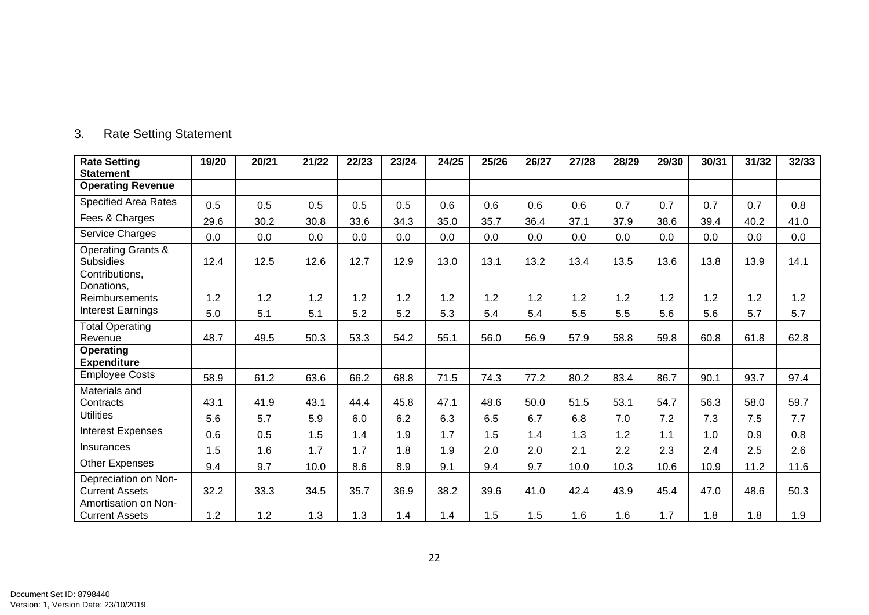| <b>Rate Setting</b><br><b>Statement</b>           | 19/20 | 20/21 | 21/22 | 22/23 | 23/24 | 24/25 | 25/26 | 26/27 | 27/28 | 28/29 | 29/30 | 30/31 | 31/32 | 32/33 |
|---------------------------------------------------|-------|-------|-------|-------|-------|-------|-------|-------|-------|-------|-------|-------|-------|-------|
| <b>Operating Revenue</b>                          |       |       |       |       |       |       |       |       |       |       |       |       |       |       |
| <b>Specified Area Rates</b>                       | 0.5   | 0.5   | 0.5   | 0.5   | 0.5   | 0.6   | 0.6   | 0.6   | 0.6   | 0.7   | 0.7   | 0.7   | 0.7   | 0.8   |
| Fees & Charges                                    | 29.6  | 30.2  | 30.8  | 33.6  | 34.3  | 35.0  | 35.7  | 36.4  | 37.1  | 37.9  | 38.6  | 39.4  | 40.2  | 41.0  |
| Service Charges                                   | 0.0   | 0.0   | 0.0   | 0.0   | 0.0   | 0.0   | 0.0   | 0.0   | 0.0   | 0.0   | 0.0   | 0.0   | 0.0   | 0.0   |
| <b>Operating Grants &amp;</b><br><b>Subsidies</b> | 12.4  | 12.5  | 12.6  | 12.7  | 12.9  | 13.0  | 13.1  | 13.2  | 13.4  | 13.5  | 13.6  | 13.8  | 13.9  | 14.1  |
| Contributions,<br>Donations,                      |       |       |       |       |       |       |       |       |       |       |       |       |       |       |
| <b>Reimbursements</b>                             | 1.2   | 1.2   | 1.2   | 1.2   | 1.2   | 1.2   | 1.2   | 1.2   | 1.2   | 1.2   | 1.2   | 1.2   | 1.2   | 1.2   |
| <b>Interest Earnings</b>                          | 5.0   | 5.1   | 5.1   | 5.2   | 5.2   | 5.3   | 5.4   | 5.4   | 5.5   | 5.5   | 5.6   | 5.6   | 5.7   | 5.7   |
| <b>Total Operating</b><br>Revenue                 | 48.7  | 49.5  | 50.3  | 53.3  | 54.2  | 55.1  | 56.0  | 56.9  | 57.9  | 58.8  | 59.8  | 60.8  | 61.8  | 62.8  |
| <b>Operating</b><br><b>Expenditure</b>            |       |       |       |       |       |       |       |       |       |       |       |       |       |       |
| <b>Employee Costs</b>                             | 58.9  | 61.2  | 63.6  | 66.2  | 68.8  | 71.5  | 74.3  | 77.2  | 80.2  | 83.4  | 86.7  | 90.1  | 93.7  | 97.4  |
| Materials and<br>Contracts                        | 43.1  | 41.9  | 43.1  | 44.4  | 45.8  | 47.1  | 48.6  | 50.0  | 51.5  | 53.1  | 54.7  | 56.3  | 58.0  | 59.7  |
| <b>Utilities</b>                                  | 5.6   | 5.7   | 5.9   | 6.0   | 6.2   | 6.3   | 6.5   | 6.7   | 6.8   | 7.0   | 7.2   | 7.3   | 7.5   | 7.7   |
| <b>Interest Expenses</b>                          | 0.6   | 0.5   | 1.5   | 1.4   | 1.9   | 1.7   | 1.5   | 1.4   | 1.3   | 1.2   | 1.1   | 1.0   | 0.9   | 0.8   |
| Insurances                                        | 1.5   | 1.6   | 1.7   | 1.7   | 1.8   | 1.9   | 2.0   | 2.0   | 2.1   | 2.2   | 2.3   | 2.4   | 2.5   | 2.6   |
| Other Expenses                                    | 9.4   | 9.7   | 10.0  | 8.6   | 8.9   | 9.1   | 9.4   | 9.7   | 10.0  | 10.3  | 10.6  | 10.9  | 11.2  | 11.6  |
| Depreciation on Non-<br><b>Current Assets</b>     | 32.2  | 33.3  | 34.5  | 35.7  | 36.9  | 38.2  | 39.6  | 41.0  | 42.4  | 43.9  | 45.4  | 47.0  | 48.6  | 50.3  |
| Amortisation on Non-<br><b>Current Assets</b>     | 1.2   | 1.2   | 1.3   | 1.3   | 1.4   | 1.4   | 1.5   | 1.5   | 1.6   | 1.6   | 1.7   | 1.8   | 1.8   | 1.9   |

# 3. Rate Setting Statement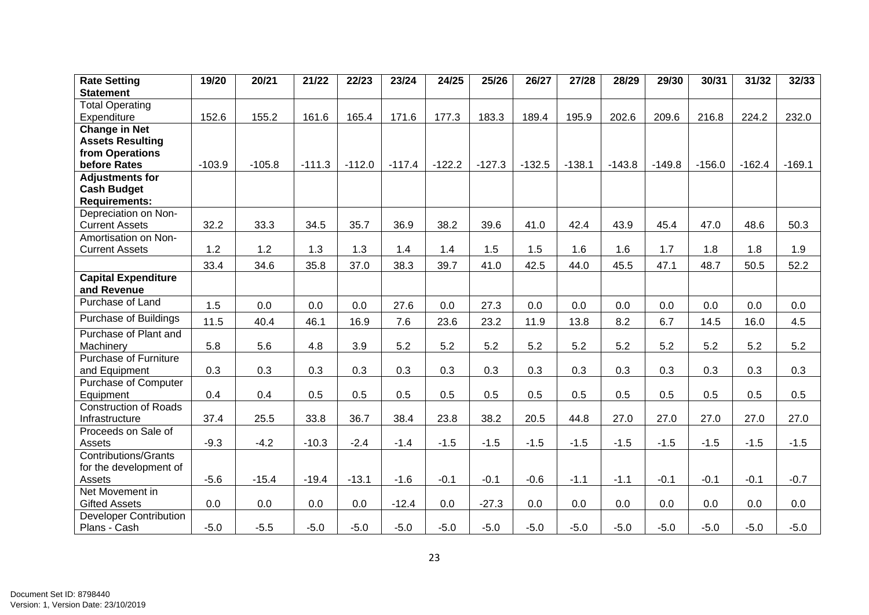| <b>Rate Setting</b>           | 19/20    | 20/21    | 21/22    | 22/23    | 23/24    | 24/25    | 25/26    | 26/27    | 27/28    | 28/29    | 29/30    | 30/31    | 31/32    | 32/33    |
|-------------------------------|----------|----------|----------|----------|----------|----------|----------|----------|----------|----------|----------|----------|----------|----------|
| <b>Statement</b>              |          |          |          |          |          |          |          |          |          |          |          |          |          |          |
| <b>Total Operating</b>        |          |          |          |          |          |          |          |          |          |          |          |          |          |          |
| Expenditure                   | 152.6    | 155.2    | 161.6    | 165.4    | 171.6    | 177.3    | 183.3    | 189.4    | 195.9    | 202.6    | 209.6    | 216.8    | 224.2    | 232.0    |
| <b>Change in Net</b>          |          |          |          |          |          |          |          |          |          |          |          |          |          |          |
| <b>Assets Resulting</b>       |          |          |          |          |          |          |          |          |          |          |          |          |          |          |
| from Operations               |          |          |          |          |          |          |          |          |          |          |          |          |          |          |
| before Rates                  | $-103.9$ | $-105.8$ | $-111.3$ | $-112.0$ | $-117.4$ | $-122.2$ | $-127.3$ | $-132.5$ | $-138.1$ | $-143.8$ | $-149.8$ | $-156.0$ | $-162.4$ | $-169.1$ |
| <b>Adjustments for</b>        |          |          |          |          |          |          |          |          |          |          |          |          |          |          |
| <b>Cash Budget</b>            |          |          |          |          |          |          |          |          |          |          |          |          |          |          |
| <b>Requirements:</b>          |          |          |          |          |          |          |          |          |          |          |          |          |          |          |
| Depreciation on Non-          |          |          |          |          |          |          |          |          |          |          |          |          |          |          |
| <b>Current Assets</b>         | 32.2     | 33.3     | 34.5     | 35.7     | 36.9     | 38.2     | 39.6     | 41.0     | 42.4     | 43.9     | 45.4     | 47.0     | 48.6     | 50.3     |
| Amortisation on Non-          |          |          |          |          |          |          |          |          |          |          |          |          |          |          |
| <b>Current Assets</b>         | 1.2      | 1.2      | 1.3      | 1.3      | 1.4      | 1.4      | 1.5      | 1.5      | 1.6      | 1.6      | 1.7      | 1.8      | 1.8      | 1.9      |
|                               | 33.4     | 34.6     | 35.8     | 37.0     | 38.3     | 39.7     | 41.0     | 42.5     | 44.0     | 45.5     | 47.1     | 48.7     | 50.5     | 52.2     |
| <b>Capital Expenditure</b>    |          |          |          |          |          |          |          |          |          |          |          |          |          |          |
| and Revenue                   |          |          |          |          |          |          |          |          |          |          |          |          |          |          |
| Purchase of Land              | 1.5      | 0.0      | 0.0      | 0.0      | 27.6     | 0.0      | 27.3     | 0.0      | 0.0      | 0.0      | 0.0      | 0.0      | 0.0      | 0.0      |
| Purchase of Buildings         | 11.5     | 40.4     | 46.1     | 16.9     | 7.6      | 23.6     | 23.2     | 11.9     | 13.8     | 8.2      | 6.7      | 14.5     | 16.0     | 4.5      |
| Purchase of Plant and         |          |          |          |          |          |          |          |          |          |          |          |          |          |          |
| Machinery                     | 5.8      | 5.6      | 4.8      | 3.9      | 5.2      | 5.2      | 5.2      | 5.2      | 5.2      | 5.2      | 5.2      | 5.2      | 5.2      | 5.2      |
| Purchase of Furniture         |          |          |          |          |          |          |          |          |          |          |          |          |          |          |
| and Equipment                 | 0.3      | 0.3      | 0.3      | 0.3      | 0.3      | 0.3      | 0.3      | 0.3      | 0.3      | 0.3      | 0.3      | 0.3      | 0.3      | 0.3      |
| Purchase of Computer          |          |          |          |          |          |          |          |          |          |          |          |          |          |          |
| Equipment                     | 0.4      | 0.4      | 0.5      | 0.5      | 0.5      | 0.5      | 0.5      | 0.5      | 0.5      | 0.5      | 0.5      | 0.5      | 0.5      | 0.5      |
| <b>Construction of Roads</b>  |          |          |          |          |          |          |          |          |          |          |          |          |          |          |
| Infrastructure                | 37.4     | 25.5     | 33.8     | 36.7     | 38.4     | 23.8     | 38.2     | 20.5     | 44.8     | 27.0     | 27.0     | 27.0     | 27.0     | 27.0     |
| Proceeds on Sale of           |          |          |          |          |          |          |          |          |          |          |          |          |          |          |
| Assets                        | $-9.3$   | $-4.2$   | $-10.3$  | $-2.4$   | $-1.4$   | $-1.5$   | $-1.5$   | $-1.5$   | $-1.5$   | $-1.5$   | $-1.5$   | $-1.5$   | $-1.5$   | $-1.5$   |
| <b>Contributions/Grants</b>   |          |          |          |          |          |          |          |          |          |          |          |          |          |          |
| for the development of        |          |          |          |          |          |          |          |          |          |          |          |          |          |          |
| Assets                        | $-5.6$   | $-15.4$  | $-19.4$  | $-13.1$  | $-1.6$   | $-0.1$   | $-0.1$   | $-0.6$   | $-1.1$   | $-1.1$   | $-0.1$   | $-0.1$   | $-0.1$   | $-0.7$   |
| Net Movement in               |          |          |          |          |          |          |          |          |          |          |          |          |          |          |
| <b>Gifted Assets</b>          | 0.0      | 0.0      | 0.0      | 0.0      | $-12.4$  | 0.0      | $-27.3$  | 0.0      | 0.0      | 0.0      | 0.0      | 0.0      | 0.0      | 0.0      |
| <b>Developer Contribution</b> |          |          |          |          |          |          |          |          |          |          |          |          |          |          |
| Plans - Cash                  | $-5.0$   | $-5.5$   | $-5.0$   | $-5.0$   | $-5.0$   | $-5.0$   | $-5.0$   | $-5.0$   | $-5.0$   | $-5.0$   | $-5.0$   | $-5.0$   | $-5.0$   | $-5.0$   |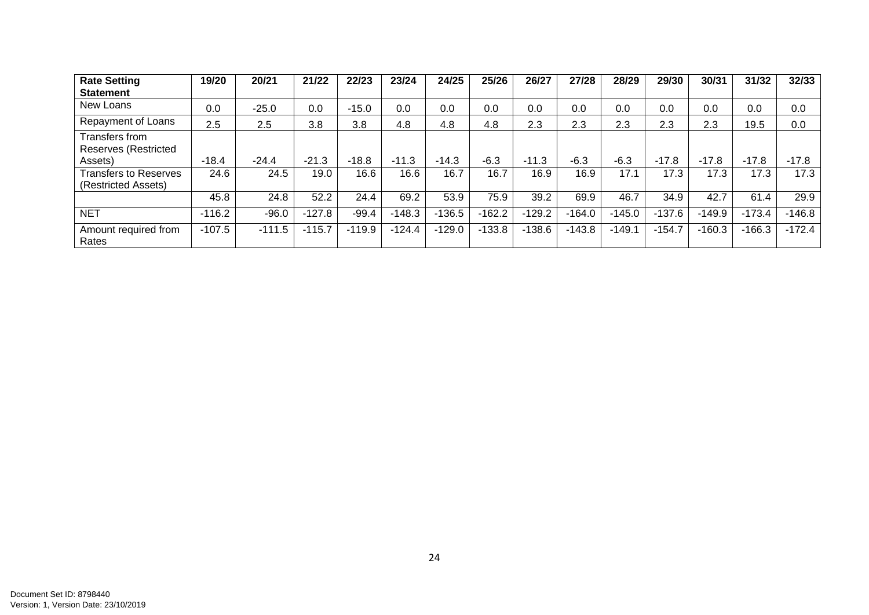| <b>Rate Setting</b>                                 | 19/20    | 20/21    | 21/22    | 22/23    | 23/24    | 24/25    | 25/26    | 26/27    | 27/28    | 28/29    | 29/30    | 30/31    | 31/32    | 32/33    |
|-----------------------------------------------------|----------|----------|----------|----------|----------|----------|----------|----------|----------|----------|----------|----------|----------|----------|
| <b>Statement</b>                                    |          |          |          |          |          |          |          |          |          |          |          |          |          |          |
| New Loans                                           | 0.0      | $-25.0$  | 0.0      | $-15.0$  | 0.0      | 0.0      | 0.0      | 0.0      | 0.0      | 0.0      | 0.0      | 0.0      | 0.0      | 0.0      |
| Repayment of Loans                                  | 2.5      | 2.5      | 3.8      | 3.8      | 4.8      | 4.8      | 4.8      | 2.3      | 2.3      | 2.3      | 2.3      | 2.3      | 19.5     | 0.0      |
| Transfers from<br>Reserves (Restricted              |          |          |          |          |          |          |          |          |          |          |          |          |          |          |
| Assets)                                             | $-18.4$  | $-24.4$  | $-21.3$  | $-18.8$  | $-11.3$  | $-14.3$  | $-6.3$   | $-11.3$  | $-6.3$   | $-6.3$   | $-17.8$  | $-17.8$  | $-17.8$  | $-17.8$  |
| <b>Transfers to Reserves</b><br>(Restricted Assets) | 24.6     | 24.5     | 19.0     | 16.6     | 16.6     | 16.7     | 16.7     | 16.9     | 16.9     | 17.1     | 17.3     | 17.3     | 17.3     | 17.3     |
|                                                     | 45.8     | 24.8     | 52.2     | 24.4     | 69.2     | 53.9     | 75.9     | 39.2     | 69.9     | 46.7     | 34.9     | 42.7     | 61.4     | 29.9     |
| <b>NET</b>                                          | $-116.2$ | $-96.0$  | $-127.8$ | $-99.4$  | $-148.3$ | $-136.5$ | $-162.2$ | $-129.2$ | $-164.0$ | $-145.0$ | $-137.6$ | $-149.9$ | $-173.4$ | $-146.8$ |
| Amount required from<br>Rates                       | $-107.5$ | $-111.5$ | $-115.7$ | $-119.9$ | $-124.4$ | $-129.0$ | $-133.8$ | $-138.6$ | $-143.8$ | $-149.1$ | $-154.7$ | $-160.3$ | $-166.3$ | $-172.4$ |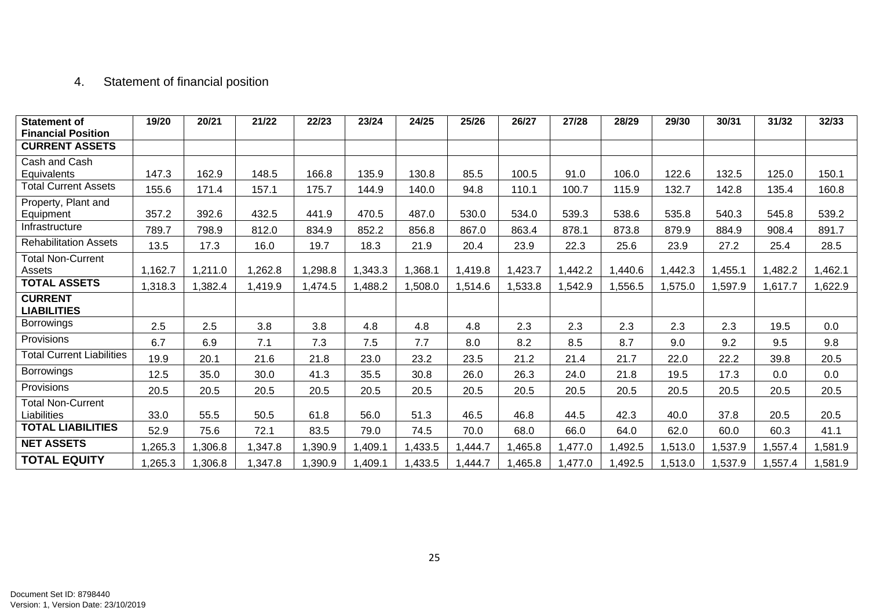# 4. Statement of financial position

| <b>Statement of</b><br><b>Financial Position</b> | 19/20   | 20/21   | 21/22   | 22/23   | 23/24   | 24/25   | 25/26  | 26/27   | 27/28  | 28/29   | 29/30   | 30/31   | 31/32   | 32/33  |
|--------------------------------------------------|---------|---------|---------|---------|---------|---------|--------|---------|--------|---------|---------|---------|---------|--------|
| <b>CURRENT ASSETS</b>                            |         |         |         |         |         |         |        |         |        |         |         |         |         |        |
| Cash and Cash<br>Equivalents                     | 147.3   | 162.9   | 148.5   | 166.8   | 135.9   | 130.8   | 85.5   | 100.5   | 91.0   | 106.0   | 122.6   | 132.5   | 125.0   | 150.1  |
| <b>Total Current Assets</b>                      | 155.6   | 171.4   | 157.1   | 175.7   | 144.9   | 140.0   | 94.8   | 110.1   | 100.7  | 115.9   | 132.7   | 142.8   | 135.4   | 160.8  |
| Property, Plant and<br>Equipment                 | 357.2   | 392.6   | 432.5   | 441.9   | 470.5   | 487.0   | 530.0  | 534.0   | 539.3  | 538.6   | 535.8   | 540.3   | 545.8   | 539.2  |
| Infrastructure                                   | 789.7   | 798.9   | 812.0   | 834.9   | 852.2   | 856.8   | 867.0  | 863.4   | 878.1  | 873.8   | 879.9   | 884.9   | 908.4   | 891.7  |
| <b>Rehabilitation Assets</b>                     | 13.5    | 17.3    | 16.0    | 19.7    | 18.3    | 21.9    | 20.4   | 23.9    | 22.3   | 25.6    | 23.9    | 27.2    | 25.4    | 28.5   |
| <b>Total Non-Current</b><br>Assets               | 1,162.7 | 1,211.0 | ,262.8  | 1,298.8 | ,343.3  | 1,368.1 | ,419.8 | ,423.7  | ,442.2 | 1,440.6 | 1,442.3 | 1,455.1 | 1,482.2 | ,462.1 |
| <b>TOTAL ASSETS</b>                              | 1,318.3 | 1,382.4 | 1,419.9 | 1,474.5 | 1,488.2 | 1,508.0 | ,514.6 | 1,533.8 | ,542.9 | 1,556.5 | 1,575.0 | 1,597.9 | 1,617.7 | ,622.9 |
| <b>CURRENT</b><br><b>LIABILITIES</b>             |         |         |         |         |         |         |        |         |        |         |         |         |         |        |
| Borrowings                                       | 2.5     | 2.5     | 3.8     | 3.8     | 4.8     | 4.8     | 4.8    | 2.3     | 2.3    | 2.3     | 2.3     | 2.3     | 19.5    | 0.0    |
| Provisions                                       | 6.7     | 6.9     | 7.1     | 7.3     | 7.5     | 7.7     | 8.0    | 8.2     | 8.5    | 8.7     | 9.0     | 9.2     | 9.5     | 9.8    |
| <b>Total Current Liabilities</b>                 | 19.9    | 20.1    | 21.6    | 21.8    | 23.0    | 23.2    | 23.5   | 21.2    | 21.4   | 21.7    | 22.0    | 22.2    | 39.8    | 20.5   |
| <b>Borrowings</b>                                | 12.5    | 35.0    | 30.0    | 41.3    | 35.5    | 30.8    | 26.0   | 26.3    | 24.0   | 21.8    | 19.5    | 17.3    | 0.0     | 0.0    |
| Provisions                                       | 20.5    | 20.5    | 20.5    | 20.5    | 20.5    | 20.5    | 20.5   | 20.5    | 20.5   | 20.5    | 20.5    | 20.5    | 20.5    | 20.5   |
| <b>Total Non-Current</b><br>Liabilities          | 33.0    | 55.5    | 50.5    | 61.8    | 56.0    | 51.3    | 46.5   | 46.8    | 44.5   | 42.3    | 40.0    | 37.8    | 20.5    | 20.5   |
| <b>TOTAL LIABILITIES</b>                         | 52.9    | 75.6    | 72.1    | 83.5    | 79.0    | 74.5    | 70.0   | 68.0    | 66.0   | 64.0    | 62.0    | 60.0    | 60.3    | 41.1   |
| <b>NET ASSETS</b>                                | 1,265.3 | 1,306.8 | 1,347.8 | 1,390.9 | 1,409.1 | 1,433.5 | ,444.7 | ,465.8  | ,477.0 | 1,492.5 | 1,513.0 | ,537.9  | 1,557.4 | ,581.9 |
| <b>TOTAL EQUITY</b>                              | 1,265.3 | 1,306.8 | 1,347.8 | 1,390.9 | ,409.1  | 1,433.5 | ,444.7 | 1,465.8 | ,477.0 | 1,492.5 | 1,513.0 | 1,537.9 | 1,557.4 | ,581.9 |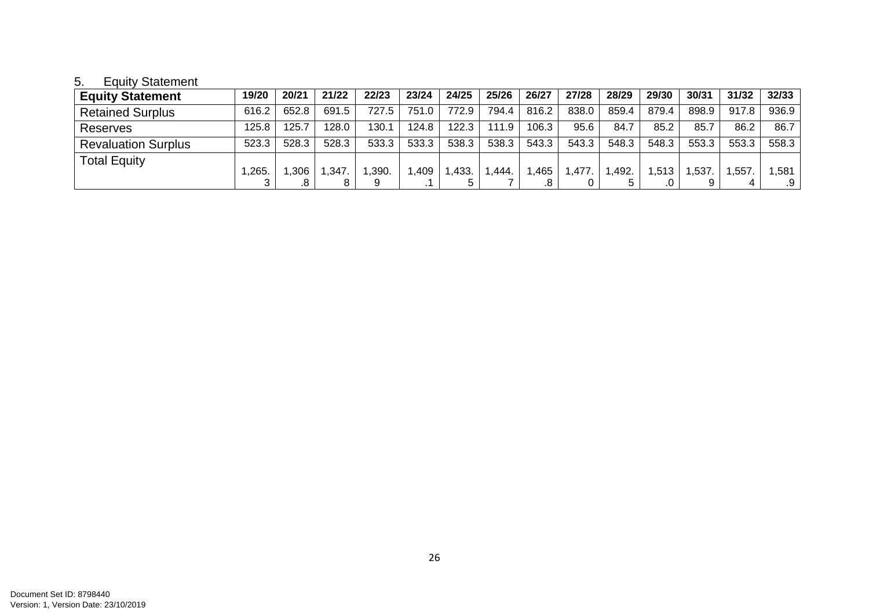# 5. Equity Statement

| <b>Equity Statement</b>    | 19/20 | 20/21 | 21/22 | 22/23 | 23/24 | 24/25 | 25/26 | 26/27 | 27/28 | 28/29 | 29/30 | 30/31 | 31/32 | 32/33 |
|----------------------------|-------|-------|-------|-------|-------|-------|-------|-------|-------|-------|-------|-------|-------|-------|
| <b>Retained Surplus</b>    | 616.2 | 652.8 | 691.5 | 727.5 | 751.0 | 772.9 | 794.4 | 816.2 | 838.0 | 859.4 | 879.4 | 898.9 | 917.8 | 936.9 |
| <b>Reserves</b>            | 125.8 | 125.7 | 128.0 | 130.1 | 124.8 | 122.3 | 111.9 | 106.3 | 95.6  | 84.7  | 85.2  | 85.   | 86.2  | 86.7  |
| <b>Revaluation Surplus</b> | 523.3 | 528.3 | 528.3 | 533.3 | 533.3 | 538.3 | 538.3 | 543.3 | 543.3 | 548.3 | 548.3 | 553.3 | 553.3 | 558.3 |
| <b>Total Equity</b>        | ,265  | .306  | ,347  | ,390. | ,409  | ,433. | .444. | ,465  | .477. | .492. | ,513  | ,537  | ,557  | ,581  |
|                            |       |       |       | 9     | . .   |       |       |       |       |       | .0    |       |       | .9    |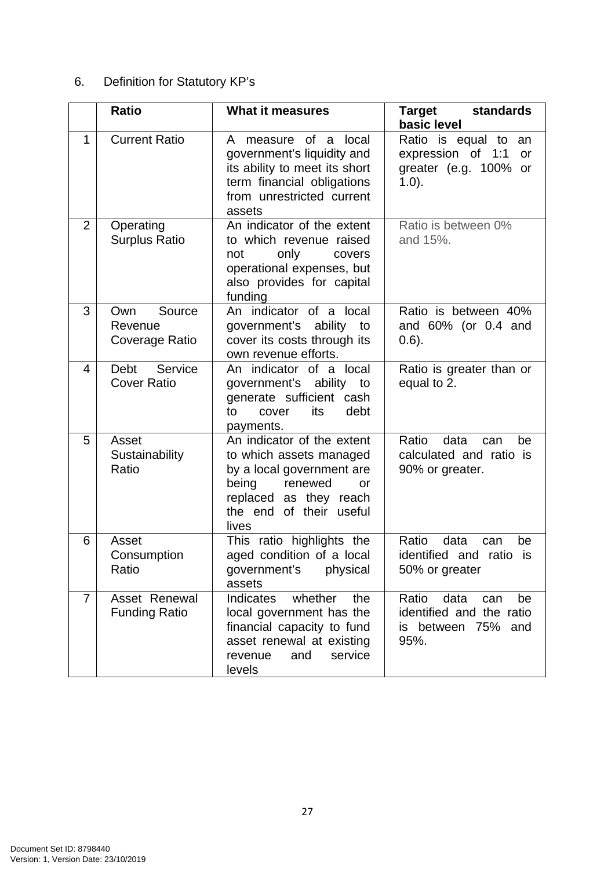# 6. Definition for Statutory KP's

|                | <b>Ratio</b>                               | <b>What it measures</b>                                                                                                                                                    | Target<br>standards<br>basic level                                                          |
|----------------|--------------------------------------------|----------------------------------------------------------------------------------------------------------------------------------------------------------------------------|---------------------------------------------------------------------------------------------|
| 1              | <b>Current Ratio</b>                       | A measure of a local<br>government's liquidity and<br>its ability to meet its short<br>term financial obligations<br>from unrestricted current<br>assets                   | Ratio is equal to an<br>expression of 1:1<br>or<br>greater (e.g. 100% or<br>$1.0$ ).        |
| $\overline{2}$ | Operating<br><b>Surplus Ratio</b>          | An indicator of the extent<br>to which revenue raised<br>only<br>not<br>covers<br>operational expenses, but<br>also provides for capital<br>funding                        | Ratio is between 0%<br>and 15%.                                                             |
| 3              | Own<br>Source<br>Revenue<br>Coverage Ratio | An indicator of a local<br>government's ability<br>to<br>cover its costs through its<br>own revenue efforts.                                                               | Ratio is between 40%<br>and 60% (or 0.4 and<br>$(0.6)$ .                                    |
| 4              | Debt<br>Service<br><b>Cover Ratio</b>      | An indicator of a local<br>government's ability to<br>generate sufficient cash<br>its<br>debt<br>to<br>cover<br>payments.                                                  | Ratio is greater than or<br>equal to 2.                                                     |
| 5              | Asset<br>Sustainability<br>Ratio           | An indicator of the extent<br>to which assets managed<br>by a local government are<br>being<br>renewed<br>or<br>replaced as they reach<br>the end of their useful<br>lives | Ratio<br>data<br>can<br>be<br>calculated and ratio is<br>90% or greater.                    |
| 6              | Asset<br>Consumption<br>Ratio              | This ratio highlights the<br>aged condition of a local<br>physical<br>government's<br>assets                                                                               | Ratio<br>data<br>be<br>can<br>identified and ratio<br>is<br>50% or greater                  |
| $\overline{7}$ | Asset Renewal<br><b>Funding Ratio</b>      | Indicates<br>whether<br>the<br>local government has the<br>financial capacity to fund<br>asset renewal at existing<br>and<br>service<br>revenue<br>levels                  | Ratio<br>data<br>be<br>can<br>identified and the ratio<br>between 75%<br>and<br>is.<br>95%. |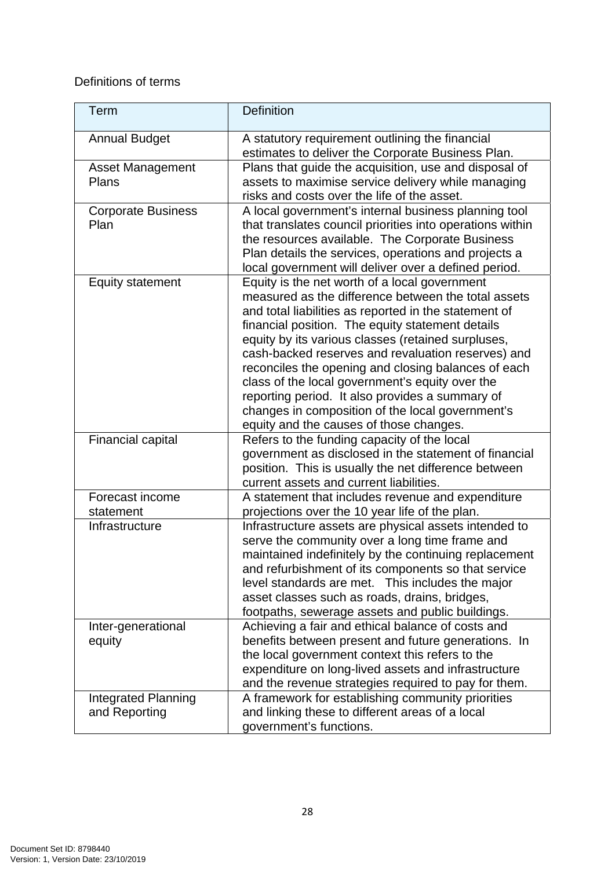# Definitions of terms

| Term                                        | <b>Definition</b>                                                                                                                                                                                                                                                                                                                                                                                                                                                                                                                                                                         |
|---------------------------------------------|-------------------------------------------------------------------------------------------------------------------------------------------------------------------------------------------------------------------------------------------------------------------------------------------------------------------------------------------------------------------------------------------------------------------------------------------------------------------------------------------------------------------------------------------------------------------------------------------|
| <b>Annual Budget</b>                        | A statutory requirement outlining the financial<br>estimates to deliver the Corporate Business Plan.                                                                                                                                                                                                                                                                                                                                                                                                                                                                                      |
| <b>Asset Management</b><br>Plans            | Plans that guide the acquisition, use and disposal of<br>assets to maximise service delivery while managing<br>risks and costs over the life of the asset.                                                                                                                                                                                                                                                                                                                                                                                                                                |
| <b>Corporate Business</b><br>Plan           | A local government's internal business planning tool<br>that translates council priorities into operations within<br>the resources available. The Corporate Business<br>Plan details the services, operations and projects a<br>local government will deliver over a defined period.                                                                                                                                                                                                                                                                                                      |
| <b>Equity statement</b>                     | Equity is the net worth of a local government<br>measured as the difference between the total assets<br>and total liabilities as reported in the statement of<br>financial position. The equity statement details<br>equity by its various classes (retained surpluses,<br>cash-backed reserves and revaluation reserves) and<br>reconciles the opening and closing balances of each<br>class of the local government's equity over the<br>reporting period. It also provides a summary of<br>changes in composition of the local government's<br>equity and the causes of those changes. |
| <b>Financial capital</b>                    | Refers to the funding capacity of the local<br>government as disclosed in the statement of financial<br>position. This is usually the net difference between<br>current assets and current liabilities.                                                                                                                                                                                                                                                                                                                                                                                   |
| Forecast income<br>statement                | A statement that includes revenue and expenditure<br>projections over the 10 year life of the plan.                                                                                                                                                                                                                                                                                                                                                                                                                                                                                       |
| Infrastructure                              | Infrastructure assets are physical assets intended to<br>serve the community over a long time frame and<br>maintained indefinitely by the continuing replacement<br>and refurbishment of its components so that service<br>level standards are met. This includes the major<br>asset classes such as roads, drains, bridges,<br>footpaths, sewerage assets and public buildings.                                                                                                                                                                                                          |
| Inter-generational<br>equity                | Achieving a fair and ethical balance of costs and<br>benefits between present and future generations. In<br>the local government context this refers to the<br>expenditure on long-lived assets and infrastructure<br>and the revenue strategies required to pay for them.                                                                                                                                                                                                                                                                                                                |
| <b>Integrated Planning</b><br>and Reporting | A framework for establishing community priorities<br>and linking these to different areas of a local<br>government's functions.                                                                                                                                                                                                                                                                                                                                                                                                                                                           |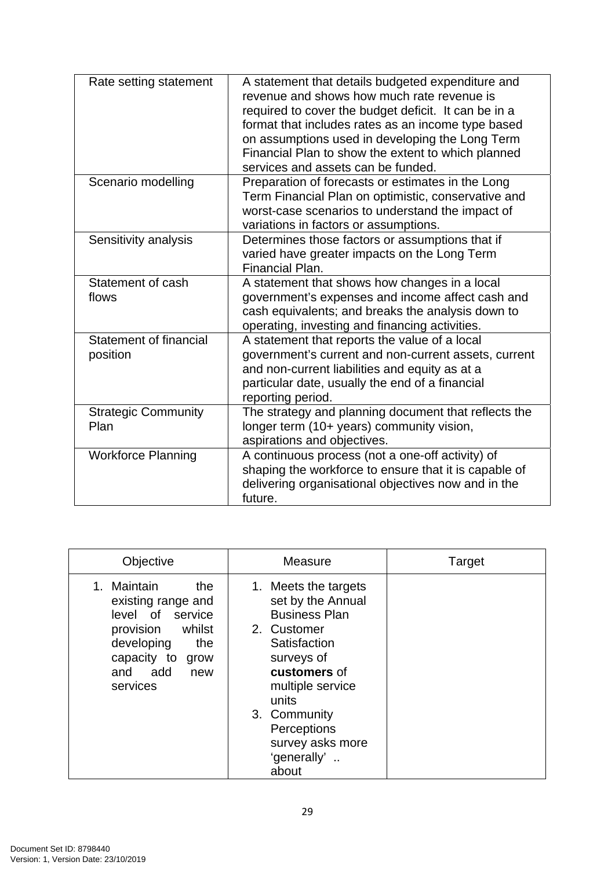| Rate setting statement                    | A statement that details budgeted expenditure and<br>revenue and shows how much rate revenue is<br>required to cover the budget deficit. It can be in a<br>format that includes rates as an income type based<br>on assumptions used in developing the Long Term<br>Financial Plan to show the extent to which planned<br>services and assets can be funded. |
|-------------------------------------------|--------------------------------------------------------------------------------------------------------------------------------------------------------------------------------------------------------------------------------------------------------------------------------------------------------------------------------------------------------------|
| Scenario modelling                        | Preparation of forecasts or estimates in the Long<br>Term Financial Plan on optimistic, conservative and<br>worst-case scenarios to understand the impact of<br>variations in factors or assumptions.                                                                                                                                                        |
| Sensitivity analysis                      | Determines those factors or assumptions that if<br>varied have greater impacts on the Long Term<br>Financial Plan.                                                                                                                                                                                                                                           |
| Statement of cash<br>flows                | A statement that shows how changes in a local<br>government's expenses and income affect cash and<br>cash equivalents; and breaks the analysis down to<br>operating, investing and financing activities.                                                                                                                                                     |
| <b>Statement of financial</b><br>position | A statement that reports the value of a local<br>government's current and non-current assets, current<br>and non-current liabilities and equity as at a<br>particular date, usually the end of a financial<br>reporting period.                                                                                                                              |
| <b>Strategic Community</b><br>Plan        | The strategy and planning document that reflects the<br>longer term (10+ years) community vision,<br>aspirations and objectives.                                                                                                                                                                                                                             |
| <b>Workforce Planning</b>                 | A continuous process (not a one-off activity) of<br>shaping the workforce to ensure that it is capable of<br>delivering organisational objectives now and in the<br>future.                                                                                                                                                                                  |

| Objective                                                                                                                                                | Measure                                                                                                                                                                                                                                | Target |
|----------------------------------------------------------------------------------------------------------------------------------------------------------|----------------------------------------------------------------------------------------------------------------------------------------------------------------------------------------------------------------------------------------|--------|
| Maintain<br>the.<br>existing range and<br>level of service<br>provision whilst<br>developing<br>the<br>capacity to<br>grow<br>and add<br>new<br>services | 1. Meets the targets<br>set by the Annual<br><b>Business Plan</b><br>2. Customer<br>Satisfaction<br>surveys of<br>customers of<br>multiple service<br>units<br>3. Community<br>Perceptions<br>survey asks more<br>'generally'<br>about |        |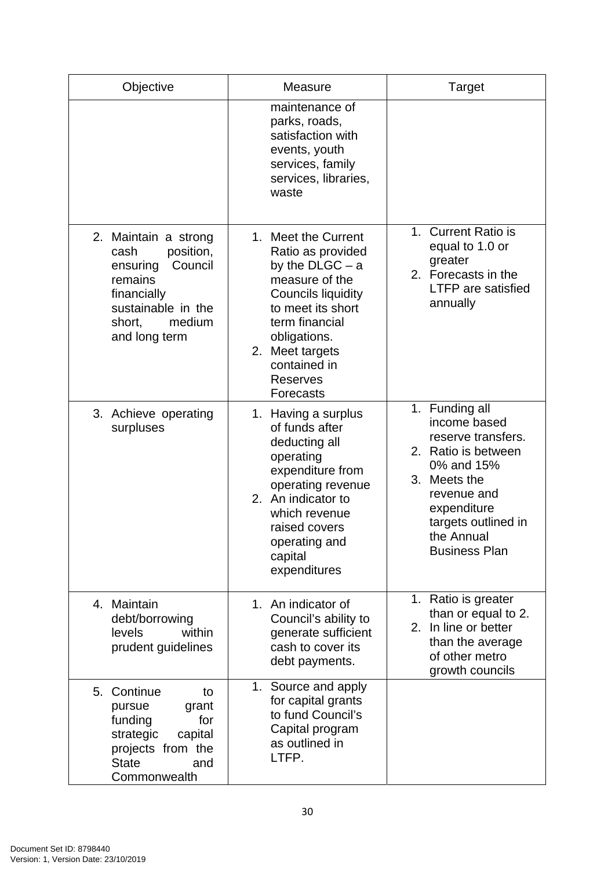| Objective                                                                                                                                             | Measure                                                                                                                                                                                                                         | Target                                                                                                                                                                                               |
|-------------------------------------------------------------------------------------------------------------------------------------------------------|---------------------------------------------------------------------------------------------------------------------------------------------------------------------------------------------------------------------------------|------------------------------------------------------------------------------------------------------------------------------------------------------------------------------------------------------|
|                                                                                                                                                       | maintenance of<br>parks, roads,<br>satisfaction with<br>events, youth<br>services, family<br>services, libraries,<br>waste                                                                                                      |                                                                                                                                                                                                      |
| 2. Maintain a strong<br>position,<br>cash<br>Council<br>ensuring<br>remains<br>financially<br>sustainable in the<br>medium<br>short,<br>and long term | 1. Meet the Current<br>Ratio as provided<br>by the $DLGC - a$<br>measure of the<br>Councils liquidity<br>to meet its short<br>term financial<br>obligations.<br>2. Meet targets<br>contained in<br><b>Reserves</b><br>Forecasts | 1. Current Ratio is<br>equal to 1.0 or<br>greater<br>2. Forecasts in the<br><b>LTFP</b> are satisfied<br>annually                                                                                    |
| 3. Achieve operating<br>surpluses                                                                                                                     | 1. Having a surplus<br>of funds after<br>deducting all<br>operating<br>expenditure from<br>operating revenue<br>2. An indicator to<br>which revenue<br>raised covers<br>operating and<br>capital<br>expenditures                | 1. Funding all<br>income based<br>reserve transfers.<br>2. Ratio is between<br>0% and 15%<br>3. Meets the<br>revenue and<br>expenditure<br>targets outlined in<br>the Annual<br><b>Business Plan</b> |
| 4. Maintain<br>debt/borrowing<br>within<br>levels<br>prudent guidelines                                                                               | 1. An indicator of<br>Council's ability to<br>generate sufficient<br>cash to cover its<br>debt payments.                                                                                                                        | 1. Ratio is greater<br>than or equal to 2.<br>2. In line or better<br>than the average<br>of other metro<br>growth councils                                                                          |
| 5. Continue<br>to<br>grant<br>pursue<br>funding<br>for<br>strategic<br>capital<br>projects from the<br><b>State</b><br>and<br>Commonwealth            | 1. Source and apply<br>for capital grants<br>to fund Council's<br>Capital program<br>as outlined in<br>LTFP.                                                                                                                    |                                                                                                                                                                                                      |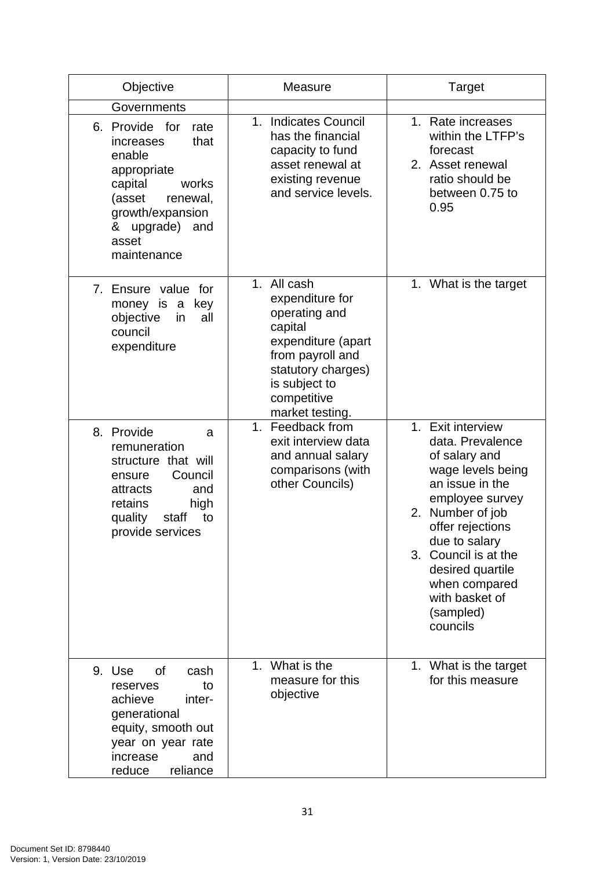| Objective                                                                                                                                                                                      | <b>Measure</b>                                                                                                                                                                | Target                                                                                                                                                                                                                                                                             |
|------------------------------------------------------------------------------------------------------------------------------------------------------------------------------------------------|-------------------------------------------------------------------------------------------------------------------------------------------------------------------------------|------------------------------------------------------------------------------------------------------------------------------------------------------------------------------------------------------------------------------------------------------------------------------------|
| Governments<br>6. Provide<br>for<br>rate<br>that<br>increases<br>enable<br>appropriate<br>capital<br>works<br>(asset<br>renewal,<br>growth/expansion<br>& upgrade) and<br>asset<br>maintenance | <b>Indicates Council</b><br>1 <sub>1</sub><br>has the financial<br>capacity to fund<br>asset renewal at<br>existing revenue<br>and service levels.                            | 1. Rate increases<br>within the LTFP's<br>forecast<br>2. Asset renewal<br>ratio should be<br>between 0.75 to<br>0.95                                                                                                                                                               |
| 7. Ensure value<br>for<br>money is a<br>key<br>objective<br>in<br>all<br>council<br>expenditure                                                                                                | 1. All cash<br>expenditure for<br>operating and<br>capital<br>expenditure (apart<br>from payroll and<br>statutory charges)<br>is subject to<br>competitive<br>market testing. | 1. What is the target                                                                                                                                                                                                                                                              |
| 8. Provide<br>a<br>remuneration<br>structure that will<br>Council<br>ensure<br>and<br>attracts<br>high<br>retains<br>quality<br>to<br>staff<br>provide services                                | Feedback from<br>$1_{-}$<br>exit interview data<br>and annual salary<br>comparisons (with<br>other Councils)                                                                  | 1. Exit interview<br>data. Prevalence<br>of salary and<br>wage levels being<br>an issue in the<br>employee survey<br>2. Number of job<br>offer rejections<br>due to salary<br>3. Council is at the<br>desired quartile<br>when compared<br>with basket of<br>(sampled)<br>councils |
| 9. Use<br>of<br>cash<br>to<br>reserves<br>achieve<br>inter-<br>generational<br>equity, smooth out<br>year on year rate<br>increase<br>and<br>reduce<br>reliance                                | 1. What is the<br>measure for this<br>objective                                                                                                                               | 1. What is the target<br>for this measure                                                                                                                                                                                                                                          |